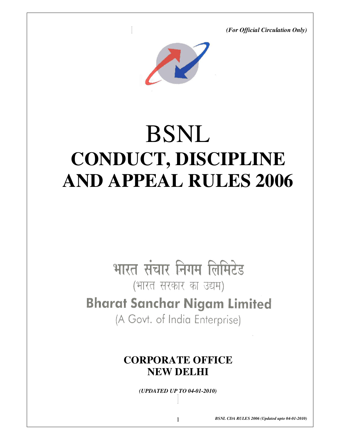*(For Official Circulation Only)* 



# BSNL **CONDUCT, DISCIPLINE AND APPEAL RULES 2006**

# भारत संचार निगम लिमिटेड

(भारत सरकार का उद्यम)

# **Bharat Sanchar Nigam Limited**

(A Govt. of India Enterprise)

# **CORPORATE OFFICE NEW DELHI**

*(UPDATED UP TO 04-01-2010)*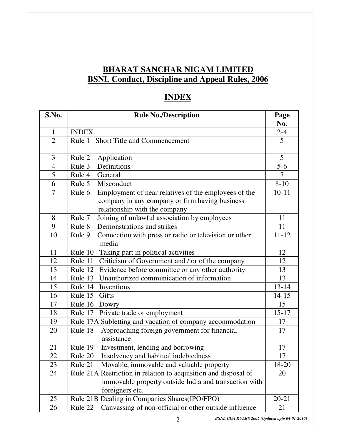# **BHARAT SANCHAR NIGAM LIMITED BSNL Conduct, Discipline and Appeal Rules, 2006**

# **INDEX**

| S.No.          | <b>Rule No./Description</b>                                                                                                                       | Page      |
|----------------|---------------------------------------------------------------------------------------------------------------------------------------------------|-----------|
|                |                                                                                                                                                   | No.       |
| $\mathbf{1}$   | <b>INDEX</b>                                                                                                                                      | $2 - 4$   |
| $\overline{2}$ | Rule 1 Short Title and Commencement                                                                                                               | 5         |
| 3              | Rule 2<br>Application                                                                                                                             | 5         |
| $\overline{4}$ | Definitions<br>Rule 3                                                                                                                             | $5-6$     |
| $\overline{5}$ | Rule 4<br>General                                                                                                                                 | 7         |
| 6              | Rule 5<br>Misconduct                                                                                                                              | $8 - 10$  |
| $\overline{7}$ | Employment of near relatives of the employees of the<br>Rule 6<br>company in any company or firm having business<br>relationship with the company | $10 - 11$ |
| 8              | Rule 7<br>Joining of unlawful association by employees                                                                                            | 11        |
| 9              | Demonstrations and strikes<br>Rule 8                                                                                                              | 11        |
| 10             | Connection with press or radio or television or other<br>Rule 9<br>media                                                                          | $11 - 12$ |
| 11             | Taking part in political activities<br>Rule 10                                                                                                    | 12        |
| 12             | Criticism of Government and / or of the company<br>Rule 11                                                                                        | 12        |
| 13             | Evidence before committee or any other authority<br>Rule 12                                                                                       | 13        |
| 14             | Unauthorized communication of information<br>Rule 13                                                                                              | 13        |
| 15             | Inventions<br>Rule 14                                                                                                                             | $13 - 14$ |
| 16             | Gifts<br>Rule 15                                                                                                                                  | $14 - 15$ |
| 17             | Rule 16<br>Dowry                                                                                                                                  | 15        |
| 18             | Rule 17<br>Private trade or employment                                                                                                            | $15 - 17$ |
| 19             | Rule 17A Subletting and vacation of company accommodation                                                                                         | 17        |
| 20             | Rule 18<br>Approaching foreign government for financial<br>assistance                                                                             | 17        |
| 21             | Rule 19<br>Investment, lending and borrowing                                                                                                      | 17        |
| 22             | Insolvency and habitual indebtedness<br>Rule 20                                                                                                   | 17        |
| 23             | Rule 21<br>Movable, immovable and valuable property                                                                                               | 18-20     |
| 24             | Rule 21A Restriction in relation to acquisition and disposal of                                                                                   | 20        |
|                | immovable property outside India and transaction with<br>foreigners etc.                                                                          |           |
| 25             | Rule 21B Dealing in Companies Shares(IPO/FPO)                                                                                                     | $20 - 21$ |
| 26             | Canvassing of non-official or other outside influence<br>Rule 22                                                                                  | 21        |

*BSNL CDA RULES 2006 (Updated upto 04-01-2010)* 2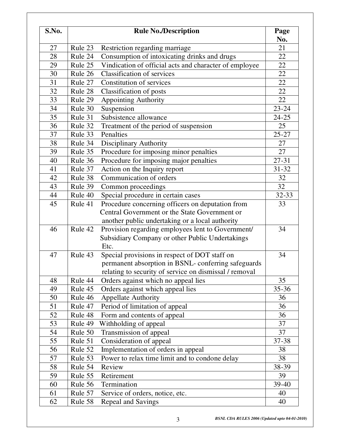| S.No. |                    | <b>Rule No./Description</b>                             | Page<br>No. |
|-------|--------------------|---------------------------------------------------------|-------------|
| 27    | Rule 23            | Restriction regarding marriage                          | 21          |
| 28    | Rule 24            | Consumption of intoxicating drinks and drugs            | 22          |
| 29    | Rule 25            | Vindication of official acts and character of employee  | 22          |
| 30    | Rule 26            | <b>Classification of services</b>                       | 22          |
| 31    | Rule 27            | Constitution of services                                | 22          |
| 32    | Rule 28            | Classification of posts                                 | 22          |
| 33    | Rule 29            |                                                         | 22          |
| 34    | Rule 30            | <b>Appointing Authority</b>                             | $23 - 24$   |
|       |                    | Suspension<br>Subsistence allowance                     |             |
| 35    | Rule 31<br>Rule 32 |                                                         | $24 - 25$   |
| 36    |                    | Treatment of the period of suspension<br>Penalties      | 25          |
| 37    | Rule 33            |                                                         | $25 - 27$   |
| 38    | Rule 34            | <b>Disciplinary Authority</b>                           | 27          |
| 39    | Rule 35            | Procedure for imposing minor penalties                  | 27          |
| 40    | Rule 36            | Procedure for imposing major penalties                  | $27 - 31$   |
| 41    | Rule 37            | Action on the Inquiry report                            | $31 - 32$   |
| 42    | Rule 38            | Communication of orders                                 | 32          |
| 43    | Rule 39            | Common proceedings                                      | 32          |
| 44    | Rule 40            | Special procedure in certain cases                      | 32-33       |
| 45    | Rule 41            | Procedure concerning officers on deputation from        | 33          |
|       |                    | Central Government or the State Government or           |             |
|       |                    | another public undertaking or a local authority         |             |
| 46    | Rule 42            | Provision regarding employees lent to Government/       | 34          |
|       |                    | Subsidiary Company or other Public Undertakings<br>Etc. |             |
| 47    | Rule 43            | Special provisions in respect of DOT staff on           | 34          |
|       |                    | permanent absorption in BSNL- conferring safeguards     |             |
|       |                    | relating to security of service on dismissal / removal  |             |
| 48    | Rule 44            | Orders against which no appeal lies                     | 35          |
| 49    | Rule 45            | Orders against which appeal lies                        | $35 - 36$   |
| 50    | Rule 46            | <b>Appellate Authority</b>                              | 36          |
| 51    | Rule 47            | Period of limitation of appeal                          | 36          |
| 52    | Rule 48            | Form and contents of appeal                             | 36          |
| 53    | Rule 49            | Withholding of appeal                                   | 37          |
| 54    | Rule 50            | Transmission of appeal                                  | 37          |
| 55    | Rule 51            | Consideration of appeal                                 | 37-38       |
| 56    | Rule 52            | Implementation of orders in appeal                      | 38          |
| 57    | Rule 53            | Power to relax time limit and to condone delay          | 38          |
| 58    | Rule 54            | Review                                                  | 38-39       |
| 59    | Rule 55            | Retirement                                              | 39          |
| 60    | Rule 56            | Termination                                             | 39-40       |
| 61    | Rule 57            | Service of orders, notice, etc.                         | 40          |
|       |                    |                                                         |             |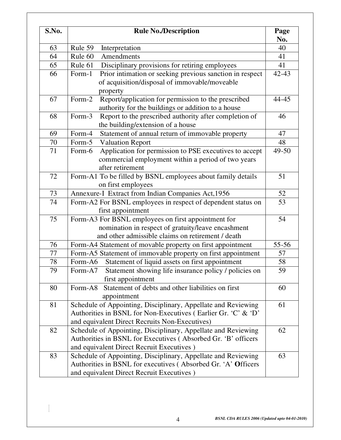| S.No. | <b>Rule No./Description</b>                                                                                                                                                      | Page<br>No. |
|-------|----------------------------------------------------------------------------------------------------------------------------------------------------------------------------------|-------------|
| 63    | Rule 59<br>Interpretation                                                                                                                                                        | 40          |
| 64    | Rule 60<br>Amendments                                                                                                                                                            | 41          |
| 65    | Disciplinary provisions for retiring employees<br>Rule 61                                                                                                                        | 41          |
| 66    | Prior intimation or seeking previous sanction in respect<br>Form-1<br>of acquisition/disposal of immovable/moveable<br>property                                                  | $42 - 43$   |
| 67    | Report/application for permission to the prescribed<br>Form-2<br>authority for the buildings or addition to a house                                                              | 44-45       |
| 68    | Report to the prescribed authority after completion of<br>Form-3<br>the building/extension of a house                                                                            | 46          |
| 69    | Statement of annual return of immovable property<br>Form-4                                                                                                                       | 47          |
| 70    | Form-5<br><b>Valuation Report</b>                                                                                                                                                | 48          |
| 71    | Application for permission to PSE executives to accept<br>Form-6<br>commercial employment within a period of two years<br>after retirement                                       | 49-50       |
| 72    | Form-A1 To be filled by BSNL employees about family details<br>on first employees                                                                                                | 51          |
| 73    | Annexure-I Extract from Indian Companies Act, 1956                                                                                                                               | 52          |
| 74    | Form-A2 For BSNL employees in respect of dependent status on<br>first appointment                                                                                                | 53          |
| 75    | Form-A3 For BSNL employees on first appointment for<br>nomination in respect of gratuity/leave encashment<br>and other admissible claims on retirement / death                   | 54          |
| 76    | Form-A4 Statement of movable property on first appointment                                                                                                                       | 55-56       |
| 77    | Form-A5 Statement of immovable property on first appointment                                                                                                                     | 57          |
| 78    | Form-A6<br>Statement of liquid assets on first appointment                                                                                                                       | 58          |
| 79    | Form-A7<br>Statement showing life insurance policy / policies on<br>first appointment                                                                                            | 59          |
| 80    | Statement of debts and other liabilities on first<br>Form-A8<br>appointment                                                                                                      | 60          |
| 81    | Schedule of Appointing, Disciplinary, Appellate and Reviewing<br>Authorities in BSNL for Non-Executives (Earlier Gr. 'C' & 'D'<br>and equivalent Direct Recruits Non-Executives) | 61          |
| 82    | Schedule of Appointing, Disciplinary, Appellate and Reviewing<br>Authorities in BSNL for Executives (Absorbed Gr. 'B' officers<br>and equivalent Direct Recruit Executives )     | 62          |
| 83    | Schedule of Appointing, Disciplinary, Appellate and Reviewing<br>Authorities in BSNL for executives (Absorbed Gr. 'A' Officers<br>and equivalent Direct Recruit Executives )     | 63          |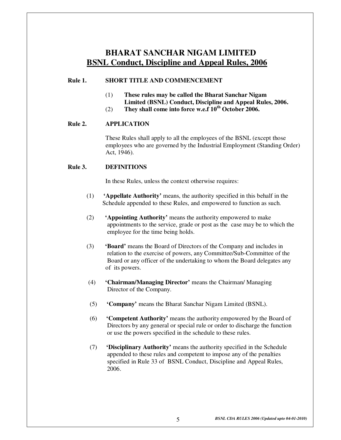## **BHARAT SANCHAR NIGAM LIMITED BSNL Conduct, Discipline and Appeal Rules, 2006**

#### **Rule 1. SHORT TITLE AND COMMENCEMENT**

- (1) **These rules may be called the Bharat Sanchar Nigam Limited (BSNL) Conduct, Discipline and Appeal Rules, 2006.**
- (2) **They shall come into force w.e.f 10th October 2006.**

#### **Rule 2. APPLICATION**

These Rules shall apply to all the employees of the BSNL (except those employees who are governed by the Industrial Employment (Standing Order) Act, 1946).

#### **Rule 3. DEFINITIONS**

In these Rules, unless the context otherwise requires:

- (1) **'Appellate Authority'** means, the authority specified in this behalf in the Schedule appended to these Rules, and empowered to function as such.
- (2) **'Appointing Authority'** means the authority empowered to make appointments to the service, grade or post as the case may be to which the employee for the time being holds.
- (3) **'Board'** means the Board of Directors of the Company and includes in relation to the exercise of powers, any Committee/Sub-Committee of the Board or any officer of the undertaking to whom the Board delegates any of its powers.
- (4) **'Chairman/Managing Director'** means the Chairman/ Managing Director of the Company.
- (5) **'Company'** means the Bharat Sanchar Nigam Limited (BSNL).
- (6) **'Competent Authority'** means the authority empowered by the Board of Directors by any general or special rule or order to discharge the function or use the powers specified in the schedule to these rules.
- (7) **'Disciplinary Authority'** means the authority specified in the Schedule appended to these rules and competent to impose any of the penalties specified in Rule 33 of BSNL Conduct, Discipline and Appeal Rules, 2006.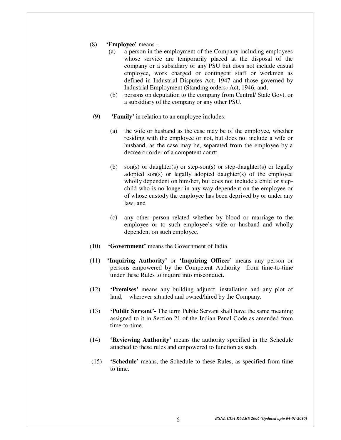- (8) **'Employee'** means
	- (a) a person in the employment of the Company including employees whose service are temporarily placed at the disposal of the company or a subsidiary or any PSU but does not include casual employee, work charged or contingent staff or workmen as defined in Industrial Disputes Act, 1947 and those governed by Industrial Employment (Standing orders) Act, 1946, and,
	- (b) persons on deputation to the company from Central/ State Govt. or a subsidiary of the company or any other PSU.
- **(9) 'Family'** in relation to an employee includes:
	- (a) the wife or husband as the case may be of the employee, whether residing with the employee or not, but does not include a wife or husband, as the case may be, separated from the employee by a decree or order of a competent court;
	- (b) son(s) or daughter(s) or step-son(s) or step-daughter(s) or legally adopted son(s) or legally adopted daughter(s) of the employee wholly dependent on him/her, but does not include a child or stepchild who is no longer in any way dependent on the employee or of whose custody the employee has been deprived by or under any law; and
	- (c) any other person related whether by blood or marriage to the employee or to such employee's wife or husband and wholly dependent on such employee.
- (10) **'Government'** means the Government of India.
- (11) **'Inquiring Authority'** or **'Inquiring Officer'** means any person or persons empowered by the Competent Authority from time-to-time under these Rules to inquire into misconduct.
- (12) **'Premises'** means any building adjunct, installation and any plot of land, wherever situated and owned/hired by the Company.
- (13) **'Public Servant'-** The term Public Servant shall have the same meaning assigned to it in Section 21 of the Indian Penal Code as amended from time-to-time.
- (14) **'Reviewing Authority'** means the authority specified in the Schedule attached to these rules and empowered to function as such.
- (15) **'Schedule'** means, the Schedule to these Rules, as specified from time to time.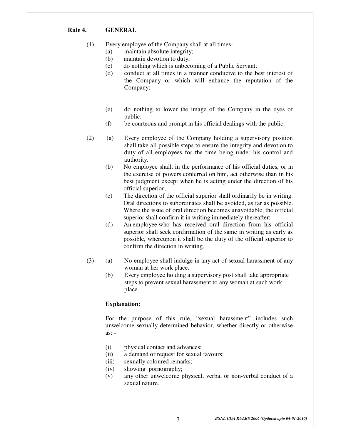#### **Rule 4. GENERAL**

- (1) Every employee of the Company shall at all times-
	- (a) maintain absolute integrity;
	- (b) maintain devotion to duty;
	- (c) do nothing which is unbecoming of a Public Servant;
	- (d) conduct at all times in a manner conducive to the best interest of the Company or which will enhance the reputation of the Company;
	- (e) do nothing to lower the image of the Company in the eyes of public;
	- (f) be courteous and prompt in his official dealings with the public.
- (2) (a) Every employee of the Company holding a supervisory position shall take all possible steps to ensure the integrity and devotion to duty of all employees for the time being under his control and authority.
	- (b) No employee shall, in the performance of his official duties, or in the exercise of powers conferred on him, act otherwise than in his best judgment except when he is acting under the direction of his official superior;
	- (c) The direction of the official superior shall ordinarily be in writing. Oral directions to subordinates shall be avoided, as far as possible. Where the issue of oral direction becomes unavoidable, the official superior shall confirm it in writing immediately thereafter;
	- (d) An employee who has received oral direction from his official superior shall seek confirmation of the same in writing as early as possible, whereupon it shall be the duty of the official superior to confirm the direction in writing.
- (3) (a) No employee shall indulge in any act of sexual harassment of any woman at her work place.
	- (b) Every employee holding a supervisory post shall take appropriate steps to prevent sexual harassment to any woman at such work place.

#### **Explanation:**

For the purpose of this rule, "sexual harassment" includes such unwelcome sexually determined behavior, whether directly or otherwise as: -

- (i) physical contact and advances;
- (ii) a demand or request for sexual favours;
- (iii) sexually coloured remarks;
- (iv) showing pornography;
- (v) any other unwelcome physical, verbal or non-verbal conduct of a sexual nature.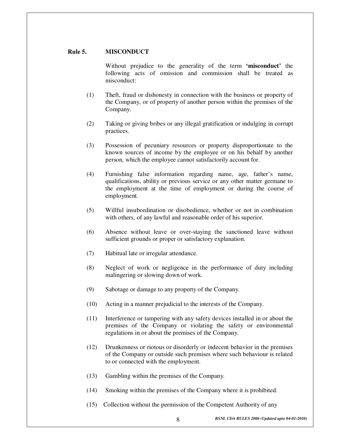#### **Rule 5. MISCONDUCT**

Without prejudice to the generality of the term **'misconduct'** the following acts of omission and commission shall be treated as misconduct:

- (1) Theft, fraud or dishonesty in connection with the business or property of the Company, or of property of another person within the premises of the Company.
- (2) Taking or giving bribes or any illegal gratification or indulging in corrupt practices.
- (3) Possession of pecuniary resources or property disproportionate to the known sources of income by the employee or on his behalf by another person, which the employee cannot satisfactorily account for.
- (4) Furnishing false information regarding name, age, father's name, qualifications, ability or previous service or any other matter germane to the employment at the time of employment or during the course of employment.
- (5) Willful insubordination or disobedience, whether or not in combination with others, of any lawful and reasonable order of his superior.
- (6) Absence without leave or over-staying the sanctioned leave without sufficient grounds or proper or satisfactory explanation.
- (7) Habitual late or irregular attendance.
- (8) Neglect of work or negligence in the performance of duty including malingering or slowing down of work.
- (9) Sabotage or damage to any property of the Company.
- (10) Acting in a manner prejudicial to the interests of the Company.
- (11) Interference or tampering with any safety devices installed in or about the premises of the Company or violating the safety or environmental regulations in or about the premises of the Company.
- (12) Drunkenness or riotous or disorderly or indecent behavior in the premises of the Company or outside such premises where such behaviour is related to or connected with the employment.
- (13) Gambling within the premises of the Company.
- (14) Smoking within the premises of the Company where it is prohibited.
- (15) Collection without the permission of the Competent Authority of any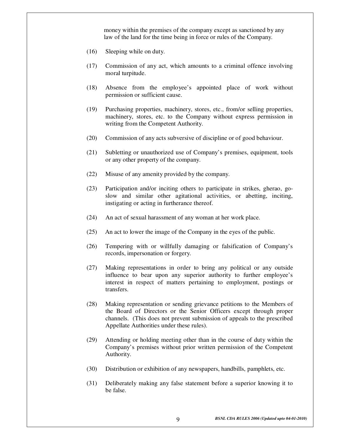money within the premises of the company except as sanctioned by any law of the land for the time being in force or rules of the Company.

- (16) Sleeping while on duty.
- (17) Commission of any act, which amounts to a criminal offence involving moral turpitude.
- (18) Absence from the employee's appointed place of work without permission or sufficient cause.
- (19) Purchasing properties, machinery, stores, etc., from/or selling properties, machinery, stores, etc. to the Company without express permission in writing from the Competent Authority.
- (20) Commission of any acts subversive of discipline or of good behaviour.
- (21) Subletting or unauthorized use of Company's premises, equipment, tools or any other property of the company.
- (22) Misuse of any amenity provided by the company.
- (23) Participation and/or inciting others to participate in strikes, gherao, goslow and similar other agitational activities, or abetting, inciting, instigating or acting in furtherance thereof.
- (24) An act of sexual harassment of any woman at her work place.
- (25) An act to lower the image of the Company in the eyes of the public.
- (26) Tempering with or willfully damaging or falsification of Company's records, impersonation or forgery.
- (27) Making representations in order to bring any political or any outside influence to bear upon any superior authority to further employee's interest in respect of matters pertaining to employment, postings or transfers.
- (28) Making representation or sending grievance petitions to the Members of the Board of Directors or the Senior Officers except through proper channels. (This does not prevent submission of appeals to the prescribed Appellate Authorities under these rules).
- (29) Attending or holding meeting other than in the course of duty within the Company's premises without prior written permission of the Competent Authority.
- (30) Distribution or exhibition of any newspapers, handbills, pamphlets, etc.
- (31) Deliberately making any false statement before a superior knowing it to be false.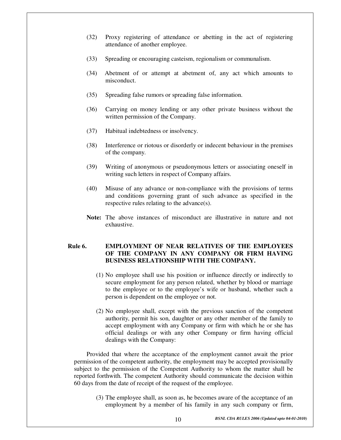- (32) Proxy registering of attendance or abetting in the act of registering attendance of another employee.
- (33) Spreading or encouraging casteism, regionalism or communalism.
- (34) Abetment of or attempt at abetment of, any act which amounts to misconduct.
- (35) Spreading false rumors or spreading false information.
- (36) Carrying on money lending or any other private business without the written permission of the Company.
- (37) Habitual indebtedness or insolvency.
- (38) Interference or riotous or disorderly or indecent behaviour in the premises of the company.
- (39) Writing of anonymous or pseudonymous letters or associating oneself in writing such letters in respect of Company affairs.
- (40) Misuse of any advance or non-compliance with the provisions of terms and conditions governing grant of such advance as specified in the respective rules relating to the advance(s).
- **Note:** The above instances of misconduct are illustrative in nature and not exhaustive.

#### **Rule 6. EMPLOYMENT OF NEAR RELATIVES OF THE EMPLOYEES OF THE COMPANY IN ANY COMPANY OR FIRM HAVING BUSINESS RELATIONSHIP WITH THE COMPANY.**

- (1) No employee shall use his position or influence directly or indirectly to secure employment for any person related, whether by blood or marriage to the employee or to the employee's wife or husband, whether such a person is dependent on the employee or not.
- (2) No employee shall, except with the previous sanction of the competent authority, permit his son, daughter or any other member of the family to accept employment with any Company or firm with which he or she has official dealings or with any other Company or firm having official dealings with the Company:

Provided that where the acceptance of the employment cannot await the prior permission of the competent authority, the employment may be accepted provisionally subject to the permission of the Competent Authority to whom the matter shall be reported forthwith. The competent Authority should communicate the decision within 60 days from the date of receipt of the request of the employee.

(3) The employee shall, as soon as, he becomes aware of the acceptance of an employment by a member of his family in any such company or firm,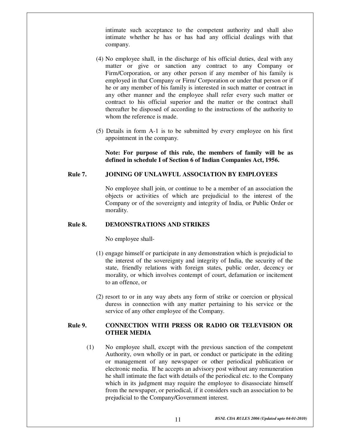intimate such acceptance to the competent authority and shall also intimate whether he has or has had any official dealings with that company.

- (4) No employee shall, in the discharge of his official duties, deal with any matter or give or sanction any contract to any Company or Firm/Corporation, or any other person if any member of his family is employed in that Company or Firm/ Corporation or under that person or if he or any member of his family is interested in such matter or contract in any other manner and the employee shall refer every such matter or contract to his official superior and the matter or the contract shall thereafter be disposed of according to the instructions of the authority to whom the reference is made.
- (5) Details in form A-1 is to be submitted by every employee on his first appointment in the company.

**Note: For purpose of this rule, the members of family will be as defined in schedule I of Section 6 of Indian Companies Act, 1956.** 

#### **Rule 7. JOINING OF UNLAWFUL ASSOCIATION BY EMPLOYEES**

No employee shall join, or continue to be a member of an association the objects or activities of which are prejudicial to the interest of the Company or of the sovereignty and integrity of India, or Public Order or morality.

#### **Rule 8. DEMONSTRATIONS AND STRIKES**

No employee shall-

- (1) engage himself or participate in any demonstration which is prejudicial to the interest of the sovereignty and integrity of India, the security of the state, friendly relations with foreign states, public order, decency or morality, or which involves contempt of court, defamation or incitement to an offence, or
- (2) resort to or in any way abets any form of strike or coercion or physical duress in connection with any matter pertaining to his service or the service of any other employee of the Company.

#### **Rule 9. CONNECTION WITH PRESS OR RADIO OR TELEVISION OR OTHER MEDIA**

(1) No employee shall, except with the previous sanction of the competent Authority, own wholly or in part, or conduct or participate in the editing or management of any newspaper or other periodical publication or electronic media. If he accepts an advisory post without any remuneration he shall intimate the fact with details of the periodical etc. to the Company which in its judgment may require the employee to disassociate himself from the newspaper, or periodical, if it considers such an association to be prejudicial to the Company/Government interest.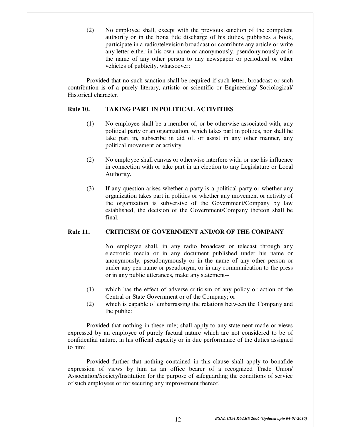(2) No employee shall, except with the previous sanction of the competent authority or in the bona fide discharge of his duties, publishes a book, participate in a radio/television broadcast or contribute any article or write any letter either in his own name or anonymously, pseudonymously or in the name of any other person to any newspaper or periodical or other vehicles of publicity, whatsoever:

Provided that no such sanction shall be required if such letter, broadcast or such contribution is of a purely literary, artistic or scientific or Engineering/ Sociological/ Historical character.

#### **Rule 10. TAKING PART IN POLITICAL ACTIVITIES**

- (1) No employee shall be a member of, or be otherwise associated with, any political party or an organization, which takes part in politics, nor shall he take part in, subscribe in aid of, or assist in any other manner, any political movement or activity.
- (2) No employee shall canvas or otherwise interfere with, or use his influence in connection with or take part in an election to any Legislature or Local Authority.
- (3) If any question arises whether a party is a political party or whether any organization takes part in politics or whether any movement or activity of the organization is subversive of the Government/Company by law established, the decision of the Government/Company thereon shall be final.

#### **Rule 11. CRITICISM OF GOVERNMENT AND/OR OF THE COMPANY**

No employee shall, in any radio broadcast or telecast through any electronic media or in any document published under his name or anonymously, pseudonymously or in the name of any other person or under any pen name or pseudonym, or in any communication to the press or in any public utterances, make any statement--

- (1) which has the effect of adverse criticism of any policy or action of the Central or State Government or of the Company; or
- (2) which is capable of embarrassing the relations between the Company and the public:

Provided that nothing in these rule; shall apply to any statement made or views expressed by an employee of purely factual nature which are not considered to be of confidential nature, in his official capacity or in due performance of the duties assigned to him:

Provided further that nothing contained in this clause shall apply to bonafide expression of views by him as an office bearer of a recognized Trade Union/ Association/Society/Institution for the purpose of safeguarding the conditions of service of such employees or for securing any improvement thereof.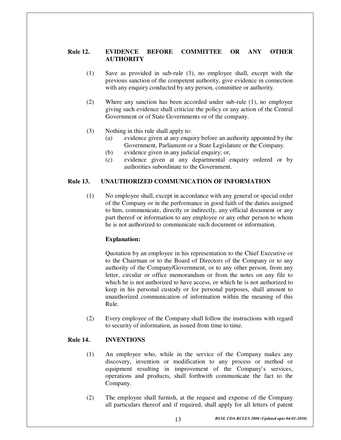#### **Rule 12. EVIDENCE BEFORE COMMITTEE OR ANY OTHER AUTHORITY**

- (1) Save as provided in sub-rule (3), no employee shall, except with the previous sanction of the competent authority, give evidence in connection with any enquiry conducted by any person, committee or authority.
- (2) Where any sanction has been accorded under sub-rule (1), no employee giving such evidence shall criticize the policy or any action of the Central Government or of State Governments or of the company.
- (3) Nothing in this rule shall apply to:
	- (a) evidence given at any enquiry before an authority appointed by the Government, Parliament or a State Legislature or the Company.
	- (b) evidence given in any judicial enquiry; or,
	- (c) evidence given at any departmental enquiry ordered or by authorities subordinate to the Government.

#### **Rule 13. UNAUTHORIZED COMMUNICATION OF INFORMATION**

(1) No employee shall, except in accordance with any general or special order of the Company or in the performance in good faith of the duties assigned to him, communicate, directly or indirectly, any official document or any part thereof or information to any employee or any other person to whom he is not authorized to communicate such document or information.

#### **Explanation:**

Quotation by an employee in his representation to the Chief Executive or to the Chairman or to the Board of Directors of the Company or to any authority of the Company/Government, or to any other person, from any letter, circular or office memorandum or from the notes on any file to which he is not authorized to have access, or which he is not authorized to keep in his personal custody or for personal purposes, shall amount to unauthorized communication of information within the meaning of this Rule.

(2) Every employee of the Company shall follow the instructions with regard to security of information, as issued from time to time.

#### **Rule 14. INVENTIONS**

- (1) An employee who, while in the service of the Company makes any discovery, invention or modification to any process or method or equipment resulting in improvement of the Company's services, operations and products, shall forthwith communicate the fact to the Company.
- (2) The employee shall furnish, at the request and expense of the Company all particulars thereof and if required, shall apply for all letters of patent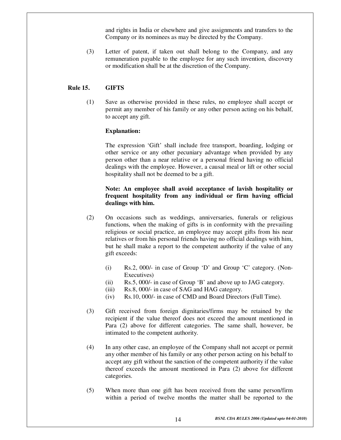and rights in India or elsewhere and give assignments and transfers to the Company or its nominees as may be directed by the Company.

(3) Letter of patent, if taken out shall belong to the Company, and any remuneration payable to the employee for any such invention, discovery or modification shall be at the discretion of the Company.

#### **Rule 15. GIFTS**

(1) Save as otherwise provided in these rules, no employee shall accept or permit any member of his family or any other person acting on his behalf, to accept any gift.

#### **Explanation:**

The expression 'Gift' shall include free transport, boarding, lodging or other service or any other pecuniary advantage when provided by any person other than a near relative or a personal friend having no official dealings with the employee. However, a causal meal or lift or other social hospitality shall not be deemed to be a gift.

#### **Note: An employee shall avoid acceptance of lavish hospitality or frequent hospitality from any individual or firm having official dealings with him.**

- (2) On occasions such as weddings, anniversaries, funerals or religious functions, when the making of gifts is in conformity with the prevailing religious or social practice, an employee may accept gifts from his near relatives or from his personal friends having no official dealings with him, but he shall make a report to the competent authority if the value of any gift exceeds:
	- (i) Rs.2, 000/- in case of Group 'D' and Group 'C' category. (Non-Executives)
	- (ii) Rs.5, 000/- in case of Group 'B' and above up to JAG category.
	- (iii) Rs.8, 000/- in case of SAG and HAG category.
	- (iv) Rs.10, 000/- in case of CMD and Board Directors (Full Time).
- (3) Gift received from foreign dignitaries/firms may be retained by the recipient if the value thereof does not exceed the amount mentioned in Para (2) above for different categories. The same shall, however, be intimated to the competent authority.
- (4) In any other case, an employee of the Company shall not accept or permit any other member of his family or any other person acting on his behalf to accept any gift without the sanction of the competent authority if the value thereof exceeds the amount mentioned in Para (2) above for different categories.
- (5) When more than one gift has been received from the same person/firm within a period of twelve months the matter shall be reported to the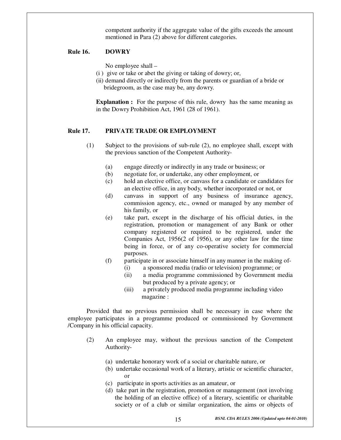competent authority if the aggregate value of the gifts exceeds the amount mentioned in Para (2) above for different categories.

#### **Rule 16. DOWRY**

No employee shall –

- (i ) give or take or abet the giving or taking of dowry; or,
- (ii) demand directly or indirectly from the parents or guardian of a bride or bridegroom, as the case may be, any dowry.

**Explanation :** For the purpose of this rule, dowry has the same meaning as in the Dowry Prohibition Act, 1961 (28 of 1961).

#### **Rule 17. PRIVATE TRADE OR EMPLOYMENT**

- (1) Subject to the provisions of sub-rule (2), no employee shall, except with the previous sanction of the Competent Authority-
	- (a) engage directly or indirectly in any trade or business; or
	- (b) negotiate for, or undertake, any other employment, or
	- (c) hold an elective office, or canvass for a candidate or candidates for an elective office, in any body, whether incorporated or not, or
	- (d) canvass in support of any business of insurance agency, commission agency, etc., owned or managed by any member of his family, or
	- (e) take part, except in the discharge of his official duties, in the registration, promotion or management of any Bank or other company registered or required to be registered, under the Companies Act, 1956(2 of 1956), or any other law for the time being in force, or of any co-operative society for commercial purposes.
	- (f) participate in or associate himself in any manner in the making of-
		- (i) a sponsored media (radio or television) programme; or
		- (ii) a media programme commissioned by Government media but produced by a private agency; or
		- (iii) a privately produced media programme including video magazine :

Provided that no previous permission shall be necessary in case where the employee participates in a programme produced or commissioned by Government /Company in his official capacity.

- (2) An employee may, without the previous sanction of the Competent Authority-
	- (a) undertake honorary work of a social or charitable nature, or
	- (b) undertake occasional work of a literary, artistic or scientific character, or
	- (c) participate in sports activities as an amateur, or
	- (d) take part in the registration, promotion or management (not involving the holding of an elective office) of a literary, scientific or charitable society or of a club or similar organization, the aims or objects of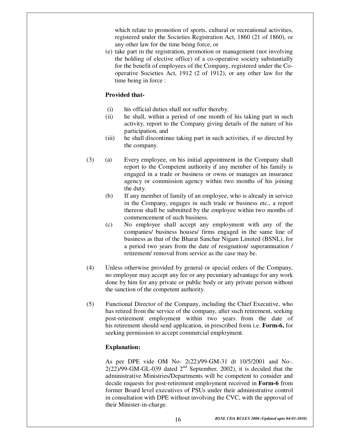which relate to promotion of sports, cultural or recreational activities, registered under the Societies Registration Act, 1860 (21 of 1860), or any other law for the time being force, or

(e) take part in the registration, promotion or management (not involving the holding of elective office) of a co-operative society substantially for the benefit of employees of the Company, registered under the Cooperative Societies Act, 1912 (2 of 1912), or any other law for the time being in force :

#### **Provided that-**

- (i) his official duties shall not suffer thereby.
- (ii) he shall, within a period of one month of his taking part in such activity, report to the Company giving details of the nature of his participation, and
- (iii) he shall discontinue taking part in such activities, if so directed by the company.
- (3) (a) Every employee, on his initial appointment in the Company shall report to the Competent authority if any member of his family is engaged in a trade or business or owns or manages an insurance agency or commission agency within two months of his joining the duty.
	- (b) If any member of family of an employee, who is already in service in the Company, engages in such trade or business etc., a report thereon shall be submitted by the employee within two months of commencement of such business.
	- (c) No employee shall accept any employment with any of the companies/ business houses/ firms engaged in the same line of business as that of the Bharat Sanchar Nigam Limited (BSNL), for a period two years from the date of resignation/ superannuation / retirement/ removal from service as the case may be.
- (4) Unless otherwise provided by general or special orders of the Company, no employee may accept any fee or any pecuniary advantage for any work done by him for any private or public body or any private person without the sanction of the competent authority.
- (5) Functional Director of the Company, including the Chief Executive, who has retired from the service of the company, after such retirement, seeking post-retirement employment within two years from the date of his retirement should send application, in prescribed form i.e. **Form-6,** for seeking permission to accept commercial employment.

#### **Explanation:**

As per DPE vide OM No- 2(22)/99-GM-31 dt 10/5/2001 and No-.  $2(22)/99$ -GM-GL-039 dated  $2<sup>nd</sup>$  September, 2002), it is decided that the administrative Ministries/Departments will be competent to consider and decide requests for post-retirement employment received in **Form-6** from former Board level executives of PSUs under their administrative control in consultation with DPE without involving the CVC, with the approval of their Minister-in-charge.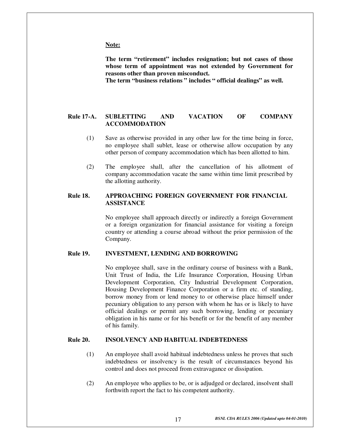#### **Note:**

**The term "retirement" includes resignation; but not cases of those whose term of appointment was not extended by Government for reasons other than proven misconduct.** 

 **The term "business relations " includes " official dealings" as well.** 

#### **Rule 17-A. SUBLETTING AND VACATION OF COMPANY ACCOMMODATION**

- (1) Save as otherwise provided in any other law for the time being in force, no employee shall sublet, lease or otherwise allow occupation by any other person of company accommodation which has been allotted to him.
- (2) The employee shall, after the cancellation of his allotment of company accommodation vacate the same within time limit prescribed by the allotting authority.

#### **Rule 18. APPROACHING FOREIGN GOVERNMENT FOR FINANCIAL ASSISTANCE**

No employee shall approach directly or indirectly a foreign Government or a foreign organization for financial assistance for visiting a foreign country or attending a course abroad without the prior permission of the Company.

#### **Rule 19. INVESTMENT, LENDING AND BORROWING**

No employee shall, save in the ordinary course of business with a Bank, Unit Trust of India, the Life Insurance Corporation, Housing Urban Development Corporation, City Industrial Development Corporation, Housing Development Finance Corporation or a firm etc. of standing, borrow money from or lend money to or otherwise place himself under pecuniary obligation to any person with whom he has or is likely to have official dealings or permit any such borrowing, lending or pecuniary obligation in his name or for his benefit or for the benefit of any member of his family.

#### **Rule 20. INSOLVENCY AND HABITUAL INDEBTEDNESS**

- (1) An employee shall avoid habitual indebtedness unless he proves that such indebtedness or insolvency is the result of circumstances beyond his control and does not proceed from extravagance or dissipation.
- (2) An employee who applies to be, or is adjudged or declared, insolvent shall forthwith report the fact to his competent authority.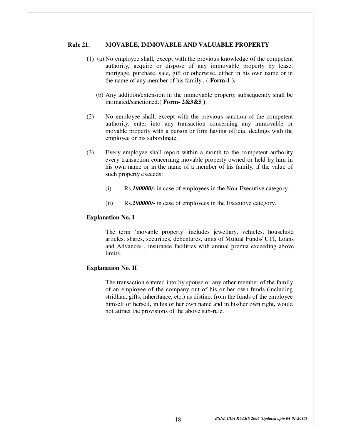#### **Rule 21. MOVABLE, IMMOVABLE AND VALUABLE PROPERTY**

- **(**1) (a) No employee shall, except with the previous knowledge of the competent authority, acquire or dispose of any immovable property by lease, mortgage, purchase, sale, gift or otherwise, either in his own name or in the name of any member of his family . ( **Form-1 ).** 
	- (b) Any addition/extension in the immovable property subsequently shall be intimated/sanctioned.( **Form- 2&3&5 )**.
- (2) No employee shall, except with the previous sanction of the competent authority, enter into any transaction concerning any immovable or movable property with a person or firm having official dealings with the employee or his subordinate.
- (3) Every employee shall report within a month to the competent authority every transaction concerning movable property owned or held by him in his own name or in the name of a member of his family, if the value of such property exceeds:
	- (i) Rs.*100000/-* in case of employees in the Non-Executive category.
	- (ii) Rs.*200000/-* in case of employees in the Executive category.

#### **Explanation No. I**

The term 'movable property' includes jewellary, vehicles, household articles, shares, securities, debentures, units of Mutual Funds/ UTI, Loans and Advances , insurance facilities with annual premia exceeding above limits.

#### **Explanation No. II**

The transaction entered into by spouse or any other member of the family of an employee of the company out of his or her own funds (including stridhan, gifts, inheritance, etc.) as distinct from the funds of the employee himself or herself, in his or her own name and in his/her own right, would not attract the provisions of the above sub-rule.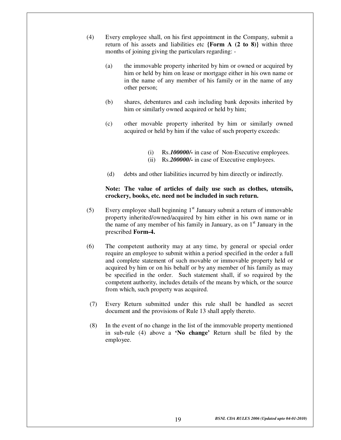- (4) Every employee shall, on his first appointment in the Company, submit a return of his assets and liabilities etc **{Form A (2 to 8)}** within three months of joining giving the particulars regarding: -
	- (a) the immovable property inherited by him or owned or acquired by him or held by him on lease or mortgage either in his own name or in the name of any member of his family or in the name of any other person;
	- (b) shares, debentures and cash including bank deposits inherited by him or similarly owned acquired or held by him;
	- (c) other movable property inherited by him or similarly owned acquired or held by him if the value of such property exceeds:
		- (i) Rs.*100000/-* in case of Non-Executive employees.
		- (ii) Rs.*200000/-* in case of Executive employees.
	- (d) debts and other liabilities incurred by him directly or indirectly.

#### **Note: The value of articles of daily use such as clothes, utensils, crockery, books, etc. need not be included in such return.**

- (5) Every employee shall beginning  $1<sup>st</sup>$  January submit a return of immovable property inherited/owned/acquired by him either in his own name or in the name of any member of his family in January, as on  $1<sup>st</sup>$  January in the prescribed **Form-4.**
- (6) The competent authority may at any time, by general or special order require an employee to submit within a period specified in the order a full and complete statement of such movable or immovable property held or acquired by him or on his behalf or by any member of his family as may be specified in the order. Such statement shall, if so required by the competent authority, includes details of the means by which, or the source from which, such property was acquired.
- (7) Every Return submitted under this rule shall be handled as secret document and the provisions of Rule 13 shall apply thereto.
- (8) In the event of no change in the list of the immovable property mentioned in sub-rule (4) above a **'No change'** Return shall be filed by the employee.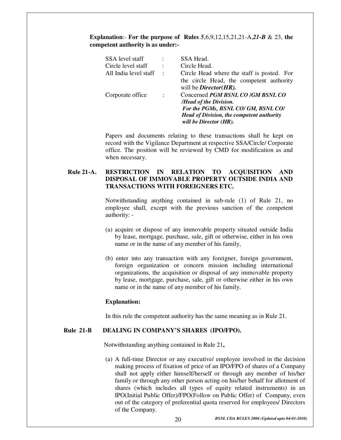#### **Explanation**:- **For the purpose of Rules** *5*,6,9,12,15,21,21-A,*21-B* & 23, **the competent authority is as under:-**

| SSA level staff<br>Circle level staff<br>All India level staff | $\ddot{\phantom{1}}$<br>$\mathbf{L}$ | SSA Head.<br>Circle Head.<br>Circle Head where the staff is posted. For<br>the circle Head, the competent authority                                                                                        |
|----------------------------------------------------------------|--------------------------------------|------------------------------------------------------------------------------------------------------------------------------------------------------------------------------------------------------------|
| Corporate office                                               | $\sim$ 100                           | will be <i>Director(HR)</i> .<br>Concerned PGM BSNL CO /GM BSNL CO<br>/Head of the Division.<br>For the PGMs, BSNL CO/ GM, BSNL CO/<br>Head of Division, the competent authority<br>will be Director (HR). |

Papers and documents relating to these transactions shall be kept on record with the Vigilance Department at respective SSA/Circle/ Corporate office. The position will be reviewed by CMD for modification as and when necessary.

#### **Rule 21-A. RESTRICTION IN RELATION TO ACQUISITION AND DISPOSAL OF IMMOVABLE PROPERTY OUTSIDE INDIA AND TRANSACTIONS WITH FOREIGNERS ETC.**

Notwithstanding anything contained in sub-rule (1) of Rule 21, no employee shall, except with the previous sanction of the competent authority: -

- (a) acquire or dispose of any immovable property situated outside India by lease, mortgage, purchase, sale, gift or otherwise, either in his own name or in the name of any member of his family,
- (b) enter into any transaction with any foreigner, foreign government, foreign organization or concern mission including international organizations, the acquisition or disposal of any immovable property by lease, mortgage, purchase, sale, gift or otherwise either in his own name or in the name of any member of his family.

#### **Explanation:**

In this rule the competent authority has the same meaning as in Rule 21.

#### **Rule 21-B DEALING IN COMPANY'S SHARES (IPO/FPO).**

Notwithstanding anything contained in Rule 21**,** 

(a) A full-time Director or any executive/ employee involved in the decision making process of fixation of price of an IPO/FPO of shares of a Company shall not apply either himself/herself or through any member of his/her family or through any other person acting on his/her behalf for allotment of shares (which includes all types of equity related instruments) in an IPO(Initial Public Offer)/FPO(Follow on Public Offer) of Company, even out of the category of preferential quota reserved for employees/ Directors of the Company.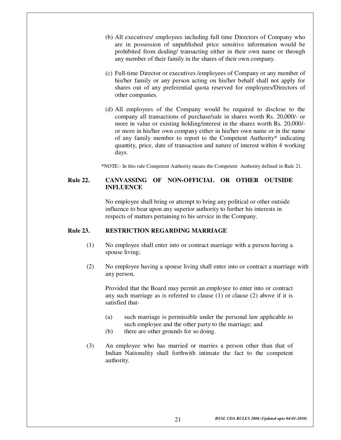- (b) All executives/ employees including full time Directors of Company who are in possession of unpublished price sensitive information would be prohibited from dealing/ transacting either in their own name or through any member of their family in the shares of their own company.
- (c) Full-time Director or executives /employees of Company or any member of his/her family or any person acting on his/her behalf shall not apply for shares out of any preferential quota reserved for employees/Directors of other companies.
- (d) All employees of the Company would be required to disclose to the company all transactions of purchase/sale in shares worth Rs. 20,000/- or more in value or existing holding/interest in the shares worth Rs. 20,000/ or more in his/her own company either in his/her own name or in the name of any family member to report to the Competent Authority\* indicating quantity, price, date of transaction and nature of interest within 4 working days.

 **\***NOTE:- In this rule Competent Authority means the Competent Authority defined in Rule 21.

#### **Rule 22. CANVASSING OF NON-OFFICIAL OR OTHER OUTSIDE INFLUENCE**

No employee shall bring or attempt to bring any political or other outside influence to bear upon any superior authority to further his interests in respects of matters pertaining to his service in the Company.

#### **Rule 23. RESTRICTION REGARDING MARRIAGE**

- (1) No employee shall enter into or contract marriage with a person having a spouse living;
- (2) No employee having a spouse living shall enter into or contract a marriage with any person,

 Provided that the Board may permit an employee to enter into or contract any such marriage as is referred to clause  $(1)$  or clause  $(2)$  above if it is satisfied that-

- (a) such marriage is permissible under the personal law applicable to such employee and the other party to the marriage; and
- (b) there are other grounds for so doing.
- (3) An employee who has married or marries a person other than that of Indian Nationality shall forthwith intimate the fact to the competent authority.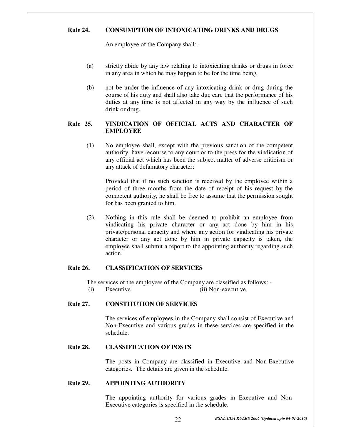#### **Rule 24. CONSUMPTION OF INTOXICATING DRINKS AND DRUGS**

An employee of the Company shall: -

- (a) strictly abide by any law relating to intoxicating drinks or drugs in force in any area in which he may happen to be for the time being,
- (b) not be under the influence of any intoxicating drink or drug during the course of his duty and shall also take due care that the performance of his duties at any time is not affected in any way by the influence of such drink or drug.

#### **Rule 25. VINDICATION OF OFFICIAL ACTS AND CHARACTER OF EMPLOYEE**

(1) No employee shall, except with the previous sanction of the competent authority, have recourse to any court or to the press for the vindication of any official act which has been the subject matter of adverse criticism or any attack of defamatory character:

Provided that if no such sanction is received by the employee within a period of three months from the date of receipt of his request by the competent authority, he shall be free to assume that the permission sought for has been granted to him.

(2). Nothing in this rule shall be deemed to prohibit an employee from vindicating his private character or any act done by him in his private/personal capacity and where any action for vindicating his private character or any act done by him in private capacity is taken, the employee shall submit a report to the appointing authority regarding such action.

#### **Rule 26. CLASSIFICATION OF SERVICES**

The services of the employees of the Company are classified as follows: -

(i) Executive (ii) Non-executive.

#### **Rule 27. CONSTITUTION OF SERVICES**

The services of employees in the Company shall consist of Executive and Non-Executive and various grades in these services are specified in the schedule.

#### **Rule 28. CLASSIFICATION OF POSTS**

The posts in Company are classified in Executive and Non-Executive categories. The details are given in the schedule.

#### **Rule 29. APPOINTING AUTHORITY**

The appointing authority for various grades in Executive and Non-Executive categories is specified in the schedule.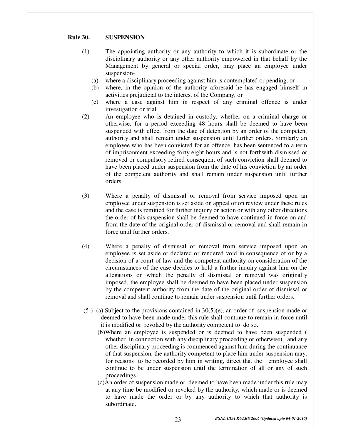#### **Rule 30. SUSPENSION**

- (1) The appointing authority or any authority to which it is subordinate or the disciplinary authority or any other authority empowered in that behalf by the Management by general or special order, may place an employee under suspension-
	- (a) where a disciplinary proceeding against him is contemplated or pending, or
	- (b) where, in the opinion of the authority aforesaid he has engaged himself in activities prejudicial to the interest of the Company, or
	- (c) where a case against him in respect of any criminal offence is under investigation or trial.
- (2) An employee who is detained in custody, whether on a criminal charge or otherwise, for a period exceeding 48 hours shall be deemed to have been suspended with effect from the date of detention by an order of the competent authority and shall remain under suspension until further orders. Similarly an employee who has been convicted for an offence, has been sentenced to a term of imprisonment exceeding forty eight hours and is not forthwith dismissed or removed or compulsory retired consequent of such conviction shall deemed to have been placed under suspension from the date of his conviction by an order of the competent authority and shall remain under suspension until further orders.
- (3) Where a penalty of dismissal or removal from service imposed upon an employee under suspension is set aside on appeal or on review under these rules and the case is remitted for further inquiry or action or with any other directions the order of his suspension shall be deemed to have continued in force on and from the date of the original order of dismissal or removal and shall remain in force until further orders.
- (4) Where a penalty of dismissal or removal from service imposed upon an employee is set aside or declared or rendered void in consequence of or by a decision of a court of law and the competent authority on consideration of the circumstances of the case decides to hold a further inquiry against him on the allegations on which the penalty of dismissal or removal was originally imposed, the employee shall be deemed to have been placed under suspension by the competent authority from the date of the original order of dismissal or removal and shall continue to remain under suspension until further orders.
- (5) (a) Subject to the provisions contained in  $30(5)(e)$ , an order of suspension made or deemed to have been made under this rule shall continue to remain in force until it is modified or revoked by the authority competent to do so.
	- (b)Where an employee is suspended or is deemed to have been suspended ( whether in connection with any disciplinary proceeding or otherwise), and any other disciplinary proceeding is commenced against him during the continuance of that suspension, the authority competent to place him under suspension may, for reasons to be recorded by him in writing, direct that the employee shall continue to be under suspension until the termination of all or any of such proceedings.
	- (c)An order of suspension made or deemed to have been made under this rule may at any time be modified or revoked by the authority, which made or is deemed to have made the order or by any authority to which that authority is subordinate.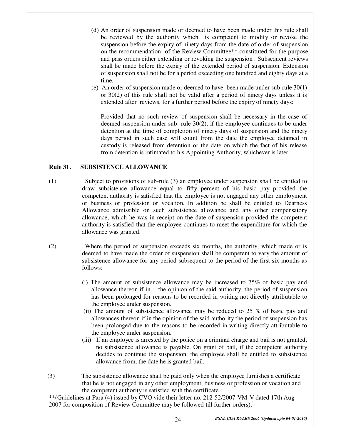- (d) An order of suspension made or deemed to have been made under this rule shall be reviewed by the authority which is competent to modify or revoke the suspension before the expiry of ninety days from the date of order of suspension on the recommendation of the Review Committee\*\* constituted for the purpose and pass orders either extending or revoking the suspension . Subsequent reviews shall be made before the expiry of the extended period of suspension. Extension of suspension shall not be for a period exceeding one hundred and eighty days at a time.
- (e) An order of suspension made or deemed to have been made under sub-rule 30(1) or 30(2) of this rule shall not be valid after a period of ninety days unless it is extended after reviews, for a further period before the expiry of ninety days:

Provided that no such review of suspension shall be necessary in the case of deemed suspension under sub- rule 30(2), if the employee continues to be under detention at the time of completion of ninety days of suspension and the ninety days period in such case will count from the date the employee detained in custody is released from detention or the date on which the fact of his release from detention is intimated to his Appointing Authority, whichever is later.

#### **Rule 31. SUBSISTENCE ALLOWANCE**

- (1) Subject to provisions of sub-rule (3) an employee under suspension shall be entitled to draw subsistence allowance equal to fifty percent of his basic pay provided the competent authority is satisfied that the employee is not engaged any other employment or business or profession or vocation. In addition he shall be entitled to Dearness Allowance admissible on such subsistence allowance and any other compensatory allowance, which he was in receipt on the date of suspension provided the competent authority is satisfied that the employee continues to meet the expenditure for which the allowance was granted.
- (2) Where the period of suspension exceeds six months, the authority, which made or is deemed to have made the order of suspension shall be competent to vary the amount of subsistence allowance for any period subsequent to the period of the first six months as follows:
	- (i) The amount of subsistence allowance may be increased to 75% of basic pay and allowance thereon if in the opinion of the said authority, the period of suspension has been prolonged for reasons to be recorded in writing not directly attributable to the employee under suspension.
	- (ii) The amount of subsistence allowance may be reduced to 25 % of basic pay and allowances thereon if in the opinion of the said authority the period of suspension has been prolonged due to the reasons to be recorded in writing directly attributable to the employee under suspension.
	- (iii) If an employee is arrested by the police on a criminal charge and bail is not granted, no subsistence allowance is payable. On grant of bail, if the competent authority decides to continue the suspension, the employee shall be entitled to subsistence allowance from, the date he is granted bail.
- (3) The subsistence allowance shall be paid only when the employee furnishes a certificate that he is not engaged in any other employment, business or profession or vocation and the competent authority is satisfied with the certificate.

\*\*(Guidelines at Para (4) issued by CVO vide their letter no. 212-52/2007-VM-V dated 17th Aug 2007 for composition of Review Committee may be followed till further orders).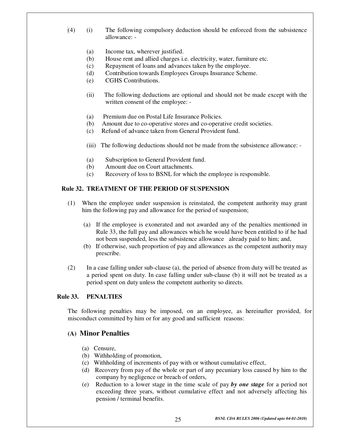- $(4)$  (i) The following compulsory deduction should be enforced from the subsistence allowance: -
	- (a) Income tax, wherever justified.
	- (b) House rent and allied charges i.e. electricity, water, furniture etc.
	- (c) Repayment of loans and advances taken by the employee.
	- (d) Contribution towards Employees Groups Insurance Scheme.
	- (e) CGHS Contributions.
	- (ii) The following deductions are optional and should not be made except with the written consent of the employee: -
	- (a) Premium due on Postal Life Insurance Policies.
	- (b) Amount due to co-operative stores and co-operative credit societies.
	- (c) Refund of advance taken from General Provident fund.
	- (iii) The following deductions should not be made from the subsistence allowance: -
	- (a) Subscription to General Provident fund.
	- (b) Amount due on Court attachments.
	- (c) Recovery of loss to BSNL for which the employee is responsible.

#### **Rule 32. TREATMENT OF THE PERIOD OF SUSPENSION**

- (1) When the employee under suspension is reinstated, the competent authority may grant him the following pay and allowance for the period of suspension;
	- (a) If the employee is exonerated and not awarded any of the penalties mentioned in Rule 33, the full pay and allowances which he would have been entitled to if he had not been suspended, less the subsistence allowance already paid to him; and,
	- (b) If otherwise, such proportion of pay and allowances as the competent authority may prescribe.
- (2) In a case falling under sub-clause (a), the period of absence from duty will be treated as a period spent on duty. In case falling under sub-clause (b) it will not be treated as a period spent on duty unless the competent authority so directs.

#### **Rule 33. PENALTIES**

The following penalties may be imposed, on an employee, as hereinafter provided, for misconduct committed by him or for any good and sufficient reasons:

#### **(A) Minor Penalties**

- (a) Censure,
- (b) Withholding of promotion,
- (c) Withholding of increments of pay with or without cumulative effect,
- (d) Recovery from pay of the whole or part of any pecuniary loss caused by him to the company by negligence or breach of orders,
- (e) Reduction to a lower stage in the time scale of pay *by one stage* for a period not exceeding three years, without cumulative effect and not adversely affecting his pension / terminal benefits.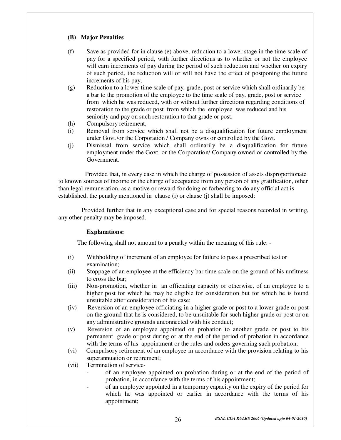#### **(B) Major Penalties**

- (f) Save as provided for in clause (e) above, reduction to a lower stage in the time scale of pay for a specified period, with further directions as to whether or not the employee will earn increments of pay during the period of such reduction and whether on expiry of such period, the reduction will or will not have the effect of postponing the future increments of his pay,
- (g) Reduction to a lower time scale of pay, grade, post or service which shall ordinarily be a bar to the promotion of the employee to the time scale of pay, grade, post or service from which he was reduced, with or without further directions regarding conditions of restoration to the grade or post from which the employee was reduced and his seniority and pay on such restoration to that grade or post.
- (h) Compulsory retirement,
- (i) Removal from service which shall not be a disqualification for future employment under Govt./or the Corporation / Company owns or controlled by the Govt.
- (j) Dismissal from service which shall ordinarily be a disqualification for future employment under the Govt. or the Corporation/ Company owned or controlled by the Government.

 Provided that, in every case in which the charge of possession of assets disproportionate to known sources of income or the charge of acceptance from any person of any gratification, other than legal remuneration, as a motive or reward for doing or forbearing to do any official act is established, the penalty mentioned in clause (i) or clause (j) shall be imposed:

 Provided further that in any exceptional case and for special reasons recorded in writing, any other penalty may be imposed.

#### **Explanations:**

The following shall not amount to a penalty within the meaning of this rule: -

- (i) Withholding of increment of an employee for failure to pass a prescribed test or examination;
- (ii) Stoppage of an employee at the efficiency bar time scale on the ground of his unfitness to cross the bar;
- (iii) Non-promotion, whether in an officiating capacity or otherwise, of an employee to a higher post for which he may be eligible for consideration but for which he is found unsuitable after consideration of his case;
- (iv) Reversion of an employee officiating in a higher grade or post to a lower grade or post on the ground that he is considered, to be unsuitable for such higher grade or post or on any administrative grounds unconnected with his conduct;
- (v) Reversion of an employee appointed on probation to another grade or post to his permanent grade or post during or at the end of the period of probation in accordance with the terms of his appointment or the rules and orders governing such probation;
- (vi) Compulsory retirement of an employee in accordance with the provision relating to his superannuation or retirement;
- (vii) Termination of service
	- of an employee appointed on probation during or at the end of the period of probation, in accordance with the terms of his appointment;
	- of an employee appointed in a temporary capacity on the expiry of the period for which he was appointed or earlier in accordance with the terms of his appointment;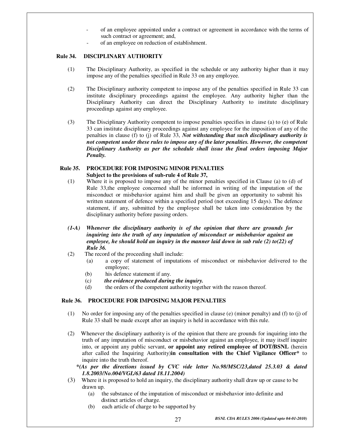- of an employee appointed under a contract or agreement in accordance with the terms of such contract or agreement; and,
- of an employee on reduction of establishment.

#### **Rule 34. DISCIPLINARY AUTHORITY**

- (1) The Disciplinary Authority, as specified in the schedule or any authority higher than it may impose any of the penalties specified in Rule 33 on any employee.
- (2) The Disciplinary authority competent to impose any of the penalties specified in Rule 33 can institute disciplinary proceedings against the employee. Any authority higher than the Disciplinary Authority can direct the Disciplinary Authority to institute disciplinary proceedings against any employee.
- (3) The Disciplinary Authority competent to impose penalties specifies in clause (a) to (e) of Rule 33 can institute disciplinary proceedings against any employee for the imposition of any of the penalties in clause (f) to (j) of Rule 33, *Not withstanding that such disciplinary authority is not competent under these rules to impose any of the later penalties. However, the competent Disciplinary Authority as per the schedule shall issue the final orders imposing Major Penalty.*

#### **Rule 35. PROCEDURE FOR IMPOSING MINOR PENALTIES Subject to the provisions of sub-rule 4 of Rule 37,**

- (1) Where it is proposed to impose any of the minor penalties specified in Clause (a) to (d) of Rule 33,the employee concerned shall be informed in writing of the imputation of the misconduct or misbehavior against him and shall be given an opportunity to submit his written statement of defence within a specified period (not exceeding 15 days). The defence statement, if any, submitted by the employee shall be taken into consideration by the disciplinary authority before passing orders.
- *(1-A)**Whenever the disciplinary authority is of the opinion that there are grounds for inquiring into the truth of any imputation of misconduct or misbehavior against an employee, he should hold an inquiry in the manner laid down in sub rule (2) to(22) of Rule 36.*
- (2) The record of the proceeding shall include:
	- (a) a copy of statement of imputations of misconduct or misbehavior delivered to the employee;
	- (b) his defence statement if any.
	- (c*) the evidence produced during the inquiry.*
	- (d) the orders of the competent authority together with the reason thereof.

#### **Rule 36. PROCEDURE FOR IMPOSING MAJOR PENALTIES**

- (1) No order for imposing any of the penalties specified in clause (e) (minor penalty) and (f) to (j) of Rule 33 shall be made except after an inquiry is held in accordance with this rule.
- (2) Whenever the disciplinary authority is of the opinion that there are grounds for inquiring into the truth of any imputation of misconduct or misbehavior against an employee, it may itself inquire into, or appoint any public servant, **or appoint any retired employee of DOT/BSNL** (herein after called the Inquiring Authority)**in consultation with the Chief Vigilance Officer\*** to inquire into the truth thereof.

 *\*(As per the directions issued by CVC vide letter No.98/MSC/23,dated 25.3.03 & dated 1.8.2003/No.004/VGL/63 dated 18.11.2004)* 

- (3) Where it is proposed to hold an inquiry, the disciplinary authority shall draw up or cause to be drawn up.
	- (a) the substance of the imputation of misconduct or misbehavior into definite and distinct articles of charge.
	- (b) each article of charge to be supported by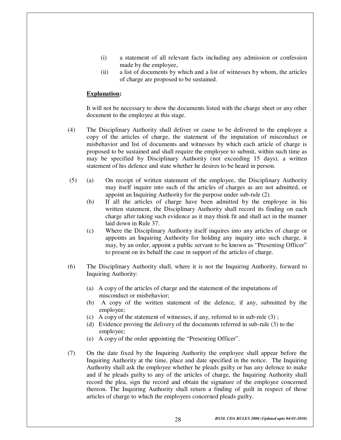- (i) a statement of all relevant facts including any admission or confession made by the employee,
- (ii) a list of documents by which and a list of witnesses by whom, the articles of charge are proposed to be sustained.

#### **Explanation:**

It will not be necessary to show the documents listed with the charge sheet or any other document to the employee at this stage.

- (4) The Disciplinary Authority shall deliver or cause to be delivered to the employee a copy of the articles of charge, the statement of the imputation of misconduct or misbehavior and list of documents and witnesses by which each article of charge is proposed to be sustained and shall require the employee to submit, within such time as may be specified by Disciplinary Authority (not exceeding 15 days), a written statement of his defence and state whether he desires to be heard in person.
- (5) (a) On receipt of written statement of the employee, the Disciplinary Authority may itself inquire into such of the articles of charges as are not admitted, or appoint an Inquiring Authority for the purpose under sub-rule (2).
	- (b) If all the articles of charge have been admitted by the employee in his written statement, the Disciplinary Authority shall record its finding on each charge after taking such evidence as it may think fit and shall act in the manner laid down in Rule 37.
	- (c) Where the Disciplinary Authority itself inquires into any articles of charge or appoints an Inquiring Authority for holding any inquiry into such charge, it may, by an order, appoint a public servant to be known as "Presenting Officer" to present on its behalf the case in support of the articles of charge.
- (6) The Disciplinary Authority shall, where it is not the Inquiring Authority, forward to Inquiring Authority:
	- (a) A copy of the articles of charge and the statement of the imputations of misconduct or misbehavior;
	- (b) A copy of the written statement of the defence, if any, submitted by the employee;
	- (c) A copy of the statement of witnesses, if any, referred to in sub-rule (3) ;
	- (d) Evidence proving the delivery of the documents referred in sub-rule (3) to the employee;
	- (e) A copy of the order appointing the "Presenting Officer".
- (7) On the date fixed by the Inquiring Authority the employee shall appear before the Inquiring Authority at the time, place and date specified in the notice. The Inquiring Authority shall ask the employee whether he pleads guilty or has any defence to make and if he pleads guilty to any of the articles of charge, the Inquiring Authority shall record the plea, sign the record and obtain the signature of the employee concerned thereon. The Inquiring Authority shall return a finding of guilt in respect of those articles of charge to which the employees concerned pleads guilty.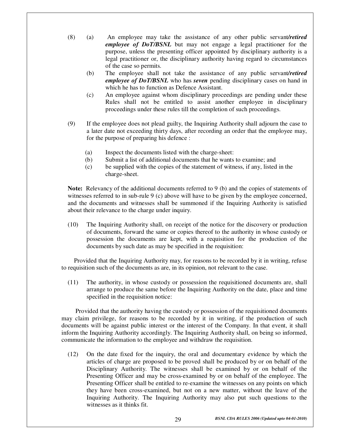- (8) (a) An employee may take the assistance of any other public servant*/retired employee of DoT/BSNL* but may not engage a legal practitioner for the purpose, unless the presenting officer appointed by disciplinary authority is a legal practitioner or, the disciplinary authority having regard to circumstances of the case so permits.
	- (b) The employee shall not take the assistance of any public servant*/retired employee of DoT/BSNL* who has *seven* pending disciplinary cases on hand in which he has to function as Defence Assistant.
	- (c) An employee against whom disciplinary proceedings are pending under these Rules shall not be entitled to assist another employee in disciplinary proceedings under these rules till the completion of such proceedings.
- (9) If the employee does not plead guilty, the Inquiring Authority shall adjourn the case to a later date not exceeding thirty days, after recording an order that the employee may, for the purpose of preparing his defence :
	- (a) Inspect the documents listed with the charge-sheet:
	- (b) Submit a list of additional documents that he wants to examine; and
	- (c) be supplied with the copies of the statement of witness, if any, listed in the charge-sheet.

**Note:** Relevancy of the additional documents referred to 9 (b) and the copies of statements of witnesses referred to in sub-rule 9 (c) above will have to be given by the employee concerned, and the documents and witnesses shall be summoned if the Inquiring Authority is satisfied about their relevance to the charge under inquiry.

(10) The Inquiring Authority shall, on receipt of the notice for the discovery or production of documents, forward the same or copies thereof to the authority in whose custody or possession the documents are kept, with a requisition for the production of the documents by such date as may be specified in the requisition:

 Provided that the Inquiring Authority may, for reasons to be recorded by it in writing, refuse to requisition such of the documents as are, in its opinion, not relevant to the case.

(11) The authority, in whose custody or possession the requisitioned documents are, shall arrange to produce the same before the Inquiring Authority on the date, place and time specified in the requisition notice:

 Provided that the authority having the custody or possession of the requisitioned documents may claim privilege, for reasons to be recorded by it in writing, if the production of such documents will be against public interest or the interest of the Company. In that event, it shall inform the Inquiring Authority accordingly. The Inquiring Authority shall, on being so informed, communicate the information to the employee and withdraw the requisition.

(12) On the date fixed for the inquiry, the oral and documentary evidence by which the articles of charge are proposed to be proved shall be produced by or on behalf of the Disciplinary Authority. The witnesses shall be examined by or on behalf of the Presenting Officer and may be cross-examined by or on behalf of the employee. The Presenting Officer shall be entitled to re-examine the witnesses on any points on which they have been cross-examined, but not on a new matter, without the leave of the Inquiring Authority. The Inquiring Authority may also put such questions to the witnesses as it thinks fit.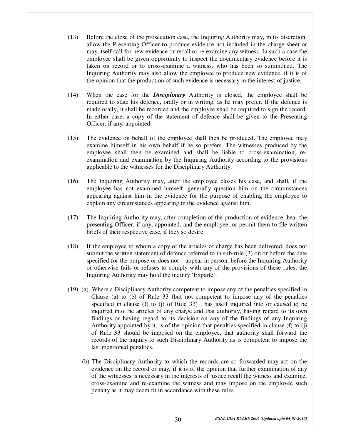- (13) Before the close of the prosecution case, the Inquiring Authority may, in its discretion, allow the Presenting Officer to produce evidence not included in the charge-sheet or may itself call for new evidence or recall or re-examine any witness. In such a case the employee shall be given opportunity to inspect the documentary evidence before it is taken on record or to cross-examine a witness, who has been so summoned. The Inquiring Authority may also allow the employee to produce new evidence, if it is of the opinion that the production of such evidence is necessary in the interest of justice.
- (14) When the case for the *Disciplinary* Authority is closed, the employee shall be required to state his defence, orally or in writing, as he may prefer. If the defence is made orally, it shall be recorded and the employee shall be required to sign the record. In either case, a copy of the statement of defence shall be given to the Presenting Officer, if any, appointed.
- (15) The evidence on behalf of the employee shall then be produced. The employee may examine himself in his own behalf if he so prefers. The witnesses produced by the employee shall then be examined and shall be liable to cross-examination, reexamination and examination by the Inquiring Authority according to the provisions applicable to the witnesses for the Disciplinary Authority.
- (16) The Inquiring Authority may, after the employee closes his case, and shall, if the employee has not examined himself, generally question him on the circumstances appearing against him in the evidence for the purpose of enabling the employee to explain any circumstances appearing in the evidence against him.
- (17) The Inquiring Authority may, after completion of the production of evidence, hear the presenting Officer, if any, appointed, and the employee, or permit them to file written briefs of their respective case, if they so desire.
- (18) If the employee to whom a copy of the articles of charge has been delivered, does not submit the written statement of defence referred to in sub-rule (3) on or before the date specified for the purpose or does not appear in person, before the Inquiring Authority or otherwise fails or refuses to comply with any of the provisions of these rules, the Inquiring Authority may hold the inquiry 'Exparte'.
- (19) (a) Where a Disciplinary Authority competent to impose any of the penalties specified in Clause (a) to (e) of Rule 33 (but not competent to impose any of the penalties specified in clause (f) to (j) of Rule 33) , has itself inquired into or caused to be inquired into the articles of any charge and that authority, having regard to its own findings or having regard to its decision on any of the findings of any Inquiring Authority appointed by it, is of the opinion that penalties specified in clause (f) to (j) of Rule 33 should be imposed on the employee, that authority shall forward the records of the inquiry to such Disciplinary Authority as is competent to impose the last mentioned penalties.
	- (b) The Disciplinary Authority to which the records are so forwarded may act on the evidence on the record or may, if it is of the opinion that further examination of any of the witnesses is necessary in the interests of justice recall the witness and examine, cross-examine and re-examine the witness and may impose on the employee such penalty as it may deem fit in accordance with these rules.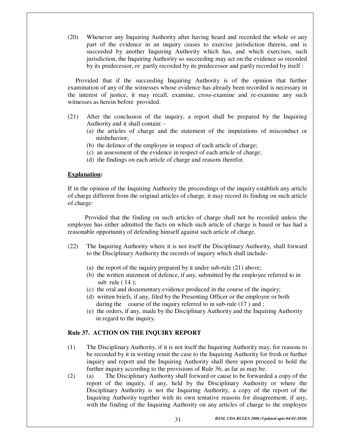(20) Whenever any Inquiring Authority after having heard and recorded the whole or any part of the evidence in an inquiry ceases to exercise jurisdiction therein, and is succeeded by another Inquiring Authority which has, and which exercises, such jurisdiction, the Inquiring Authority so succeeding may act on the evidence so recorded by its predecessor, or partly recorded by its predecessor and partly recorded by itself :

 Provided that if the succeeding Inquiring Authority is of the opinion that further examination of any of the witnesses whose evidence has already been recorded is necessary in the interest of justice, it may recall, examine, cross-examine and re-examine any such witnesses as herein before provided.

- (21) After the conclusion of the inquiry, a report shall be prepared by the Inquiring Authority and it shall contain: -
	- (a) the articles of charge and the statement of the imputations of misconduct or misbehavior;
	- (b) the defence of the employee in respect of each article of charge;
	- (c) an assessment of the evidence in respect of each article of charge;
	- (d) the findings on each article of charge and reasons therefor.

#### **Explanation:**

If in the opinion of the Inquiring Authority the proceedings of the inquiry establish any article of charge different from the original articles of charge, it may record its finding on such article of charge:

 Provided that the finding on such articles of charge shall not be recorded unless the employee has either admitted the facts on which such article of charge is based or has had a reasonable opportunity of defending himself against such article of charge.

- (22) The Inquiring Authority where it is not itself the Disciplinary Authority, shall forward to the Disciplinary Authority the records of inquiry which shall include-
	- (a) the report of the inquiry prepared by it under sub-rule (21) above;
	- (b) the written statement of defence, if any, submitted by the employee referred to in sub rule  $(14)$ ;
	- (c) the oral and documentary evidence produced in the course of the inquiry;
	- (d) written briefs, if any, filed by the Presenting Officer or the employee or both during the course of the inquiry referred to in sub-rule (17) and ;
	- (e) the orders, if any, made by the Disciplinary Authority and the Inquiring Authority in regard to the inquiry.

#### **Rule 37. ACTION ON THE INQUIRY REPORT**

- (1) The Disciplinary Authority, if it is not itself the Inquiring Authority may, for reasons to be recorded by it in writing remit the case to the Inquiring Authority for fresh or further inquiry and report and the Inquiring Authority shall there upon proceed to hold the further inquiry according to the provisions of Rule 36, as far as may be.
- (2) (a) The Disciplinary Authority shall forward or cause to be forwarded a copy of the report of the inquiry, if any, held by the Disciplinary Authority or where the Disciplinary Authority is not the Inquiring Authority, a copy of the report of the Inquiring Authority together with its own tentative reasons for disagreement, if any, with the finding of the Inquiring Authority on any articles of charge to the employee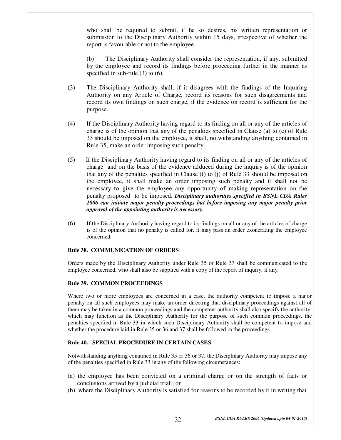who shall be required to submit, if he so desires, his written representation or submission to the Disciplinary Authority within 15 days, irrespective of whether the report is favourable or not to the employee.

 (b) The Disciplinary Authority shall consider the representation, if any, submitted by the employee and record its findings before proceeding further in the manner as specified in sub-rule (3) to (6).

- (3) The Disciplinary Authority shall, if it disagrees with the findings of the Inquiring Authority on any Article of Charge, record its reasons for such disagreements and record its own findings on such charge, if the evidence on record is sufficient for the purpose.
- (4) If the Disciplinary Authority having regard to its finding on all or any of the articles of charge is of the opinion that any of the penalties specified in Clause (a) to (e) of Rule 33 should be imposed on the employee, it shall, notwithstanding anything contained in Rule 35, make an order imposing such penalty.
- (5) If the Disciplinary Authority having regard to its finding on all or any of the articles of charge and on the basis of the evidence adduced during the inquiry is of the opinion that any of the penalties specified in Clause (f) to (j) of Rule 33 should be imposed on the employee, it shall make an order imposing such penalty and it shall not be necessary to give the employee any opportunity of making representation on the penalty proposed to be imposed. *Disciplinary authorities specified in BSNL CDA Rules 2006 can initiate major penalty proceedings but before imposing any major penalty prior approval of the appointing authority is necessary.*
- (6) If the Disciplinary Authority having regard to its findings on all or any of the articles of charge is of the opinion that no penalty is called for, it may pass an order exonerating the employee concerned.

#### **Rule 38. COMMUNICATION OF ORDERS**

Orders made by the Disciplinary Authority under Rule 35 or Rule 37 shall be communicated to the employee concerned, who shall also be supplied with a copy of the report of inquiry, if any.

#### **Rule 39. COMMON PROCEEDINGS**

Where two or more employees are concerned in a case, the authority competent to impose a major penalty on all such employees may make an order directing that disciplinary proceedings against all of them may be taken in a common proceedings and the competent authority shall also specify the authority, which may function as the Disciplinary Authority for the purpose of such common proceedings, the penalties specified in Rule 33 in which such Disciplinary Authority shall be competent to impose and whether the procedure laid in Rule 35 or 36 and 37 shall be followed in the proceedings.

#### **Rule 40. SPECIAL PROCEDURE IN CERTAIN CASES**

Notwithstanding anything contained in Rule 35 or 36 or 37, the Disciplinary Authority may impose any of the penalties specified in Rule 33 in any of the following circumstances:

- (a) the employee has been convicted on a criminal charge or on the strength of facts or conclusions arrived by a judicial trial ; or
- (b) where the Disciplinary Authority is satisfied for reasons to be recorded by it in writing that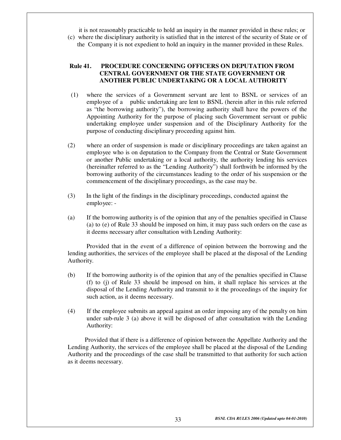it is not reasonably practicable to hold an inquiry in the manner provided in these rules; or (c) where the disciplinary authority is satisfied that in the interest of the security of State or of the Company it is not expedient to hold an inquiry in the manner provided in these Rules.

#### **Rule 41. PROCEDURE CONCERNING OFFICERS ON DEPUTATION FROM CENTRAL GOVERNMENT OR THE STATE GOVERNMENT OR ANOTHER PUBLIC UNDERTAKING OR A LOCAL AUTHORITY**

- (1) where the services of a Government servant are lent to BSNL or services of an employee of a public undertaking are lent to BSNL (herein after in this rule referred as "the borrowing authority"), the borrowing authority shall have the powers of the Appointing Authority for the purpose of placing such Government servant or public undertaking employee under suspension and of the Disciplinary Authority for the purpose of conducting disciplinary proceeding against him.
- (2) where an order of suspension is made or disciplinary proceedings are taken against an employee who is on deputation to the Company from the Central or State Government or another Public undertaking or a local authority, the authority lending his services (hereinafter referred to as the "Lending Authority") shall forthwith be informed by the borrowing authority of the circumstances leading to the order of his suspension or the commencement of the disciplinary proceedings, as the case may be.
- (3) In the light of the findings in the disciplinary proceedings, conducted against the employee: -
- (a) If the borrowing authority is of the opinion that any of the penalties specified in Clause (a) to (e) of Rule 33 should be imposed on him, it may pass such orders on the case as it deems necessary after consultation with Lending Authority:

 Provided that in the event of a difference of opinion between the borrowing and the lending authorities, the services of the employee shall be placed at the disposal of the Lending Authority.

- (b) If the borrowing authority is of the opinion that any of the penalties specified in Clause (f) to (j) of Rule 33 should be imposed on him, it shall replace his services at the disposal of the Lending Authority and transmit to it the proceedings of the inquiry for such action, as it deems necessary.
- (4) If the employee submits an appeal against an order imposing any of the penalty on him under sub-rule 3 (a) above it will be disposed of after consultation with the Lending Authority:

 Provided that if there is a difference of opinion between the Appellate Authority and the Lending Authority, the services of the employee shall be placed at the disposal of the Lending Authority and the proceedings of the case shall be transmitted to that authority for such action as it deems necessary.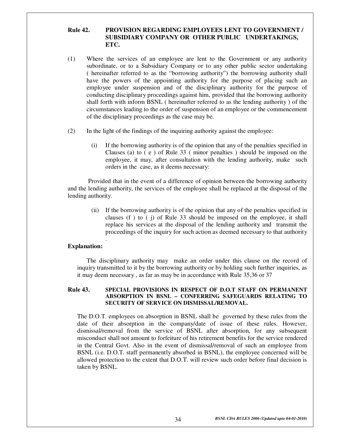#### **Rule 42. PROVISION REGARDING EMPLOYEES LENT TO GOVERNMENT / SUBSIDIARY COMPANY OR OTHER PUBLIC UNDERTAKINGS, ETC.**

- (1) Where the services of an employee are lent to the Government or any authority subordinate, or to a Subsidiary Company or to any other public sector undertaking ( hereinafter referred to as the "borrowing authority") the borrowing authority shall have the powers of the appointing authority for the purpose of placing such an employee under suspension and of the disciplinary authority for the purpose of conducting disciplinary proceedings against him, provided that the borrowing authority shall forth with inform BSNL ( hereinafter referred to as the lending authority ) of the circumstances leading to the order of suspension of an employee or the commencement of the disciplinary proceedings as the case may be.
- (2) In the light of the findings of the inquiring authority against the employee:
	- (i) If the borrowing authority is of the opinion that any of the penalties specified in Clauses (a) to ( e ) of Rule 33 ( minor penalties ) should be imposed on the employee, it may, after consultation with the lending authority, make such orders in the case, as it deems necessary:

 Provided that in the event of a difference of opinion between the borrowing authority and the lending authority, the services of the employee shall be replaced at the disposal of the lending authority.

(ii) If the borrowing authority is of the opinion that any of the penalties specified in clauses (f ) to ( j) of Rule 33 should be imposed on the employee, it shall replace his services at the disposal of the lending authority and transmit the proceedings of the inquiry for such action as deemed necessary to that authority

#### **Explanation:**

.

The disciplinary authority may make an order under this clause on the record of inquiry transmitted to it by the borrowing authority or by holding such further inquiries, as it may deem necessary , as far as may be in accordance with Rule 35,36 or 37

#### **Rule 43. SPECIAL PROVISIONS IN RESPECT OF D.O.T STAFF ON PERMANENT ABSORPTION IN BSNL – CONFERRING SAFEGUARDS RELATING TO SECURITY OF SERVICE ON DISMISSAL/REMOVAL.**

The D.O.T. employees on absorption in BSNL shall be governed by these rules from the date of their absorption in the company/date of issue of these rules. However, dismissal/removal from the service of BSNL after absorption, for any subsequent misconduct shall not amount to forfeiture of his retirement benefits for the service rendered in the Central Govt. Also in the event of dismissal/removal of such an employee from BSNL (i.e. D.O.T. staff permanently absorbed in BSNL), the employee concerned will be allowed protection to the extent that D.O.T. will review such order before final decision is taken by BSNL.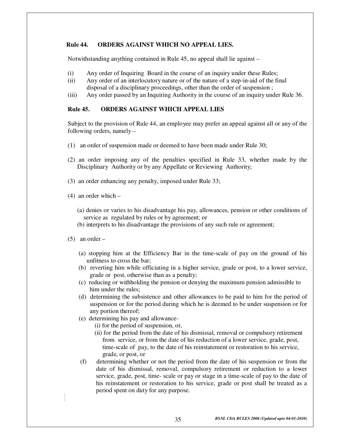#### **Rule 44. ORDERS AGAINST WHICH NO APPEAL LIES.**

Notwithstanding anything contained in Rule 45, no appeal shall lie against –

- (i) Any order of Inquiring Board in the course of an inquiry under these Rules;
- (ii) Any order of an interlocutory nature or of the nature of a step-in-aid of the final disposal of a disciplinary proceedings, other than the order of suspension ;
- (iii) Any order passed by an Inquiring Authority in the course of an inquiry under Rule 36.

#### **Rule 45. ORDERS AGAINST WHICH APPEAL LIES**

Subject to the provision of Rule 44, an employee may prefer an appeal against all or any of the following orders, namely –

- (1) an order of suspension made or deemed to have been made under Rule 30;
- (2) an order imposing any of the penalties specified in Rule 33, whether made by the Disciplinary Authority or by any Appellate or Reviewing Authority;
- (3) an order enhancing any penalty, imposed under Rule 33;
- (4) an order which
	- (a) denies or varies to his disadvantage his pay, allowances, pension or other conditions of service as regulated by rules or by agreement; or
	- (b) interprets to his disadvantage the provisions of any such rule or agreement;
- $(5)$  an order
	- (a) stopping him at the Efficiency Bar in the time-scale of pay on the ground of his unfitness to cross the bar;
	- (b) reverting him while officiating in a higher service, grade or post, to a lower service, grade or post, otherwise than as a penalty;
	- (c) reducing or withholding the pension or denying the maximum pension admissible to him under the rules;
	- (d) determining the subsistence and other allowances to be paid to him for the period of suspension or for the period during which he is deemed to be under suspension or for any portion thereof;
	- (e) determining his pay and allowance-
		- (i) for the period of suspension, or,
		- (ii) for the period from the date of his dismissal, removal or compulsory retirement from service, or from the date of his reduction of a lower service, grade, post, time-scale of pay, to the date of his reinstatement or restoration to his service, grade, or post, or
	- (f) determining whether or not the period from the date of his suspension or from the date of his dismissal, removal, compulsory retirement or reduction to a lower service, grade, post, time- scale or pay or stage in a time-scale of pay to the date of his reinstatement or restoration to his service, grade or post shall be treated as a period spent on duty for any purpose.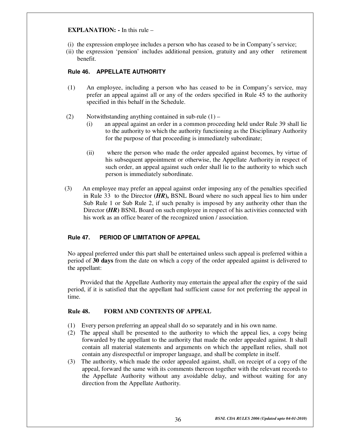#### **EXPLANATION: -** In this rule –

- (i) the expression employee includes a person who has ceased to be in Company's service;
- (ii) the expression 'pension' includes additional pension, gratuity and any other retirement benefit.

#### **Rule 46. APPELLATE AUTHORITY**

- (1) An employee, including a person who has ceased to be in Company's service, may prefer an appeal against all or any of the orders specified in Rule 45 to the authority specified in this behalf in the Schedule.
- (2) Notwithstanding anything contained in sub-rule  $(1)$ 
	- (i) an appeal against an order in a common proceeding held under Rule 39 shall lie to the authority to which the authority functioning as the Disciplinary Authority for the purpose of that proceeding is immediately subordinate;
	- (ii) where the person who made the order appealed against becomes, by virtue of his subsequent appointment or otherwise, the Appellate Authority in respect of such order, an appeal against such order shall lie to the authority to which such person is immediately subordinate.
- (3) An employee may prefer an appeal against order imposing any of the penalties specified in Rule 33 to the Director **(***HR***),** BSNL Board where no such appeal lies to him under Sub Rule 1 or Sub Rule 2, if such penalty is imposed by any authority other than the Director **(***HR*) BSNL Board on such employee in respect of his activities connected with his work as an office bearer of the recognized union / association.

#### **Rule 47. PERIOD OF LIMITATION OF APPEAL**

No appeal preferred under this part shall be entertained unless such appeal is preferred within a period of **30 days** from the date on which a copy of the order appealed against is delivered to the appellant:

 Provided that the Appellate Authority may entertain the appeal after the expiry of the said period, if it is satisfied that the appellant had sufficient cause for not preferring the appeal in time.

#### **Rule 48. FORM AND CONTENTS OF APPEAL**

- (1) Every person preferring an appeal shall do so separately and in his own name.
- (2) The appeal shall be presented to the authority to which the appeal lies, a copy being forwarded by the appellant to the authority that made the order appealed against. It shall contain all material statements and arguments on which the appellant relies, shall not contain any disrespectful or improper language, and shall be complete in itself.
- (3) The authority, which made the order appealed against, shall, on receipt of a copy of the appeal, forward the same with its comments thereon together with the relevant records to the Appellate Authority without any avoidable delay, and without waiting for any direction from the Appellate Authority.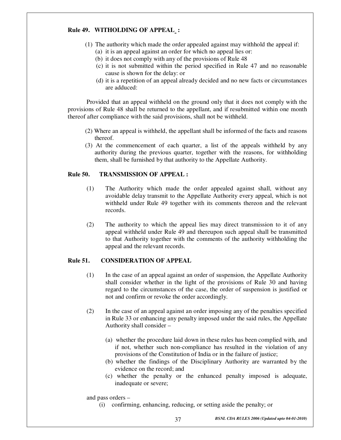#### **Rule 49. WITHOLDING OF APPEAL :**

- (1) The authority which made the order appealed against may withhold the appeal if: (a) it is an appeal against an order for which no appeal lies or:
	- (b) it does not comply with any of the provisions of Rule 48
	- (c) it is not submitted within the period specified in Rule 47 and no reasonable cause is shown for the delay: or
	- (d) it is a repetition of an appeal already decided and no new facts or circumstances are adduced:

 Provided that an appeal withheld on the ground only that it does not comply with the provisions of Rule 48 shall be returned to the appellant, and if resubmitted within one month thereof after compliance with the said provisions, shall not be withheld.

- (2) Where an appeal is withheld, the appellant shall be informed of the facts and reasons thereof.
- (3) At the commencement of each quarter, a list of the appeals withheld by any authority during the previous quarter, together with the reasons, for withholding them, shall be furnished by that authority to the Appellate Authority.

#### **Rule 50. TRANSMISSION OF APPEAL :**

- (1) The Authority which made the order appealed against shall, without any avoidable delay transmit to the Appellate Authority every appeal, which is not withheld under Rule 49 together with its comments thereon and the relevant records.
- (2) The authority to which the appeal lies may direct transmission to it of any appeal withheld under Rule 49 and thereupon such appeal shall be transmitted to that Authority together with the comments of the authority withholding the appeal and the relevant records.

#### **Rule 51. CONSIDERATION OF APPEAL**

- (1) In the case of an appeal against an order of suspension, the Appellate Authority shall consider whether in the light of the provisions of Rule 30 and having regard to the circumstances of the case, the order of suspension is justified or not and confirm or revoke the order accordingly.
- (2) In the case of an appeal against an order imposing any of the penalties specified in Rule 33 or enhancing any penalty imposed under the said rules, the Appellate Authority shall consider –
	- (a) whether the procedure laid down in these rules has been complied with, and if not, whether such non-compliance has resulted in the violation of any provisions of the Constitution of India or in the failure of justice;
	- (b) whether the findings of the Disciplinary Authority are warranted by the evidence on the record; and
	- (c) whether the penalty or the enhanced penalty imposed is adequate, inadequate or severe;

and pass orders –

(i) confirming, enhancing, reducing, or setting aside the penalty; or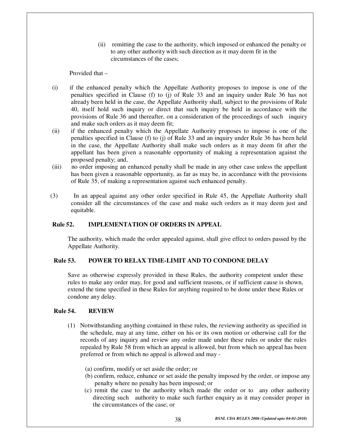(ii) remitting the case to the authority, which imposed or enhanced the penalty or to any other authority with such direction as it may deem fit in the circumstances of the cases;

Provided that –

- (i) if the enhanced penalty which the Appellate Authority proposes to impose is one of the penalties specified in Clause (f) to (j) of Rule 33 and an inquiry under Rule 36 has not already been held in the case, the Appellate Authority shall, subject to the provisions of Rule 40, itself hold such inquiry or direct that such inquiry be held in accordance with the provisions of Rule 36 and thereafter, on a consideration of the proceedings of such inquiry and make such orders as it may deem fit;
- (ii) if the enhanced penalty which the Appellate Authority proposes to impose is one of the penalties specified in Clause (f) to (j) of Rule 33 and an inquiry under Rule 36 has been held in the case, the Appellate Authority shall make such orders as it may deem fit after the appellant has been given a reasonable opportunity of making a representation against the proposed penalty; and,
- (iii) no order imposing an enhanced penalty shall be made in any other case unless the appellant has been given a reasonable opportunity, as far as may be, in accordance with the provisions of Rule 35, of making a representation against such enhanced penalty.
- (3) In an appeal against any other order specified in Rule 45, the Appellate Authority shall consider all the circumstances of the case and make such orders as it may deem just and equitable.

#### **Rule 52. IMPLEMENTATION OF ORDERS IN APPEAL**

The authority, which made the order appealed against, shall give effect to orders passed by the Appellate Authority.

#### **Rule 53. POWER TO RELAX TIME-LIMIT AND TO CONDONE DELAY**

Save as otherwise expressly provided in these Rules, the authority competent under these rules to make any order may, for good and sufficient reasons, or if sufficient cause is shown, extend the time specified in these Rules for anything required to be done under these Rules or condone any delay.

#### **Rule 54. REVIEW**

- (1) Notwithstanding anything contained in these rules, the reviewing authority as specified in the schedule, may at any time, either on his or its own motion or otherwise call for the records of any inquiry and review any order made under these rules or under the rules repealed by Rule 58 from which an appeal is allowed, but from which no appeal has been preferred or from which no appeal is allowed and may -
	- (a) confirm, modify or set aside the order; or
	- (b) confirm, reduce, enhance or set aside the penalty imposed by the order, or impose any penalty where no penalty has been imposed; or
	- (c) remit the case to the authority which made the order or to any other authority directing such authority to make such further enquiry as it may consider proper in the circumstances of the case; or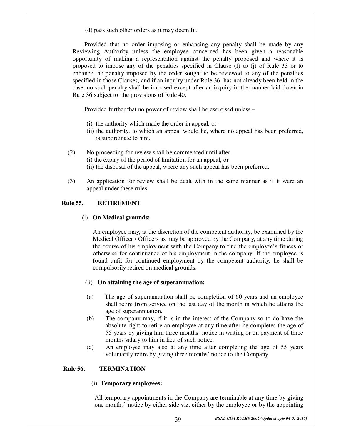(d) pass such other orders as it may deem fit.

Provided that no order imposing or enhancing any penalty shall be made by any Reviewing Authority unless the employee concerned has been given a reasonable opportunity of making a representation against the penalty proposed and where it is proposed to impose any of the penalties specified in Clause (f) to (j) of Rule 33 or to enhance the penalty imposed by the order sought to be reviewed to any of the penalties specified in those Clauses, and if an inquiry under Rule 36 has not already been held in the case, no such penalty shall be imposed except after an inquiry in the manner laid down in Rule 36 subject to the provisions of Rule 40.

Provided further that no power of review shall be exercised unless –

- (i) the authority which made the order in appeal, or
- (ii) the authority, to which an appeal would lie, where no appeal has been preferred, is subordinate to him.
- (2) No proceeding for review shall be commenced until after (i) the expiry of the period of limitation for an appeal, or (ii) the disposal of the appeal, where any such appeal has been preferred.
- (3) An application for review shall be dealt with in the same manner as if it were an appeal under these rules.

#### **Rule 55. RETIREMENT**

#### (i) **On Medical grounds:**

An employee may, at the discretion of the competent authority, be examined by the Medical Officer / Officers as may be approved by the Company, at any time during the course of his employment with the Company to find the employee's fitness or otherwise for continuance of his employment in the company. If the employee is found unfit for continued employment by the competent authority, he shall be compulsorily retired on medical grounds.

#### (ii) **On attaining the age of superannuation:**

- (a) The age of superannuation shall be completion of 60 years and an employee shall retire from service on the last day of the month in which he attains the age of superannuation.
- (b) The company may, if it is in the interest of the Company so to do have the absolute right to retire an employee at any time after he completes the age of 55 years by giving him three months' notice in writing or on payment of three months salary to him in lieu of such notice.
- (c) An employee may also at any time after completing the age of 55 years voluntarily retire by giving three months' notice to the Company.

#### **Rule 56. TERMINATION**

#### (i) **Temporary employees:**

All temporary appointments in the Company are terminable at any time by giving one months' notice by either side viz. either by the employee or by the appointing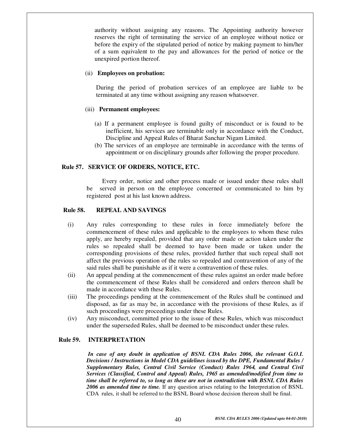authority without assigning any reasons. The Appointing authority however reserves the right of terminating the service of an employee without notice or before the expiry of the stipulated period of notice by making payment to him/her of a sum equivalent to the pay and allowances for the period of notice or the unexpired portion thereof.

#### (ii) **Employees on probation:**

During the period of probation services of an employee are liable to be terminated at any time without assigning any reason whatsoever.

#### (iii) **Permanent employees:**

- (a) If a permanent employee is found guilty of misconduct or is found to be inefficient, his services are terminable only in accordance with the Conduct, Discipline and Appeal Rules of Bharat Sanchar Nigam Limited.
- (b) The services of an employee are terminable in accordance with the terms of appointment or on disciplinary grounds after following the proper procedure.

#### **Rule 57. SERVICE OF ORDERS, NOTICE, ETC.**

 Every order, notice and other process made or issued under these rules shall be served in person on the employee concerned or communicated to him by registered post at his last known address.

#### **Rule 58. REPEAL AND SAVINGS**

- (i) Any rules corresponding to these rules in force immediately before the commencement of these rules and applicable to the employees to whom these rules apply, are hereby repealed, provided that any order made or action taken under the rules so repealed shall be deemed to have been made or taken under the corresponding provisions of these rules, provided further that such repeal shall not affect the previous operation of the rules so repealed and contravention of any of the said rules shall be punishable as if it were a contravention of these rules.
- (ii) An appeal pending at the commencement of these rules against an order made before the commencement of these Rules shall be considered and orders thereon shall be made in accordance with these Rules.
- (iii) The proceedings pending at the commencement of the Rules shall be continued and disposed, as far as may be, in accordance with the provisions of these Rules, as if such proceedings were proceedings under these Rules.
- (iv) Any misconduct, committed prior to the issue of these Rules, which was misconduct under the superseded Rules, shall be deemed to be misconduct under these rules.

#### **Rule 59. INTERPRETATION**

 *In case of any doubt in application of BSNL CDA Rules 2006, the relevant G.O.I. Decisions / Instructions in Model CDA guidelines issued by the DPE, Fundamental Rules / Supplementary Rules, Central Civil Service (Conduct) Rules 1964, and Central Civil Services (Classified, Control and Appeal) Rules, 1965 as amended/modified from time to time shall be referred to, so long as these are not in contradiction with BSNL CDA Rules 2006 as amended time to time.* If any question arises relating to the Interpretation of BSNL CDA rules, it shall be referred to the BSNL Board whose decision thereon shall be final.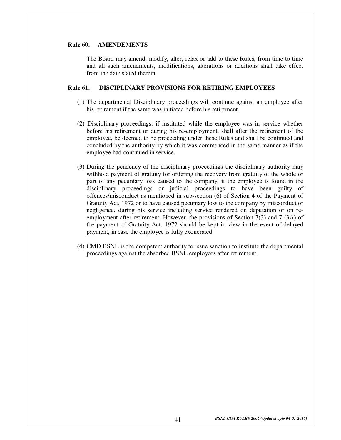#### **Rule 60. AMENDEMENTS**

The Board may amend, modify, alter, relax or add to these Rules, from time to time and all such amendments, modifications, alterations or additions shall take effect from the date stated therein.

#### **Rule 61. DISCIPLINARY PROVISIONS FOR RETIRING EMPLOYEES**

- (1) The departmental Disciplinary proceedings will continue against an employee after his retirement if the same was initiated before his retirement.
- (2) Disciplinary proceedings, if instituted while the employee was in service whether before his retirement or during his re-employment, shall after the retirement of the employee, be deemed to be proceeding under these Rules and shall be continued and concluded by the authority by which it was commenced in the same manner as if the employee had continued in service.
- (3) During the pendency of the disciplinary proceedings the disciplinary authority may withhold payment of gratuity for ordering the recovery from gratuity of the whole or part of any pecuniary loss caused to the company, if the employee is found in the disciplinary proceedings or judicial proceedings to have been guilty of offences/misconduct as mentioned in sub-section (6) of Section 4 of the Payment of Gratuity Act, 1972 or to have caused pecuniary loss to the company by misconduct or negligence, during his service including service rendered on deputation or on reemployment after retirement. However, the provisions of Section 7(3) and 7 (3A) of the payment of Gratuity Act, 1972 should be kept in view in the event of delayed payment, in case the employee is fully exonerated.
- (4) CMD BSNL is the competent authority to issue sanction to institute the departmental proceedings against the absorbed BSNL employees after retirement.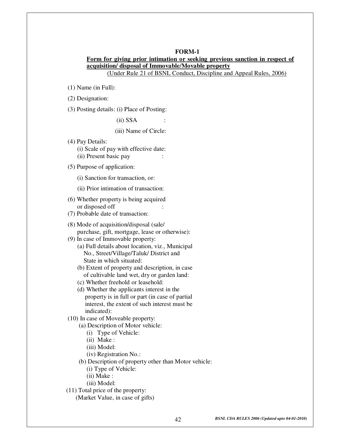#### **FORM-1 Form for giving prior intimation or seeking previous sanction in respect of acquisition/ disposal of Immovable**/**Movable property** (Under Rule 21 of BSNL Conduct, Discipline and Appeal Rules, 2006)

(1) Name (in Full):

(2) Designation:

(3) Posting details: (i) Place of Posting:

 $(ii)$  SSA  $:$ 

(iii) Name of Circle:

(4) Pay Details:

(i) Scale of pay with effective date:

(ii) Present basic pay :

(5) Purpose of application:

(i) Sanction for transaction, or:

(ii) Prior intimation of transaction:

(6) Whether property is being acquired or disposed off :

(7) Probable date of transaction:

(8) Mode of acquisition/disposal (sale/ purchase, gift, mortgage, lease or otherwise):

(9) In case of Immovable property:

 (a) Full details about location, viz., Municipal No., Street/Village/Taluk/ District and State in which situated:

 (b) Extent of property and description, in case of cultivable land wet, dry or garden land:

(c) Whether freehold or leasehold:

 (d) Whether the applicants interest in the property is in full or part (in case of partial interest, the extent of such interest must be indicated):

(10) In case of Moveable property:

(a) Description of Motor vehicle:

(i) Type of Vehicle:

(ii) Make :

(iii) Model:

(iv) Registration No.:

(b) Description of property other than Motor vehicle:

(i) Type of Vehicle:

(ii) Make :

(iii) Model:

(11) Total price of the property:

(Market Value, in case of gifts)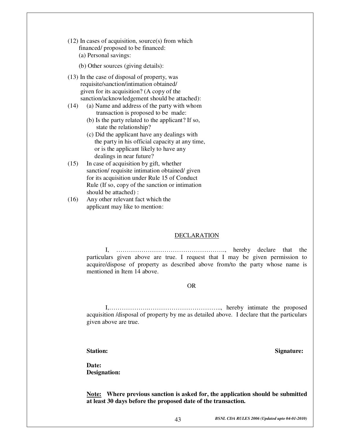(12) In cases of acquisition, source(s) from which financed/ proposed to be financed: (a) Personal savings:

(b) Other sources (giving details):

- (13) In the case of disposal of property, was requisite/sanction/intimation obtained/ given for its acquisition? (A copy of the sanction/acknowledgement should be attached):
- (14) (a) Name and address of the party with whom transaction is proposed to be made:
	- (b) Is the party related to the applicant? If so, state the relationship?
	- (c) Did the applicant have any dealings with the party in his official capacity at any time, or is the applicant likely to have any dealings in near future?
- (15) In case of acquisition by gift, whether sanction/ requisite intimation obtained/ given for its acquisition under Rule 15 of Conduct Rule (If so, copy of the sanction or intimation should be attached) :
- (16) Any other relevant fact which the applicant may like to mention :

#### **DECLARATION**

I, ……………………………………………., hereby declare that the particulars given above are true. I request that I may be given permission to acquire/dispose of property as described above from/to the party whose name is mentioned in Item 14 above.

#### OR

I,……………….…………………………….., hereby intimate the proposed acquisition /disposal of property by me as detailed above. I declare that the particulars given above are true.

#### **Station: Signature:**

**Date:** 

 **Designation:** 

**Note: Where previous sanction is asked for, the application should be submitted at least 30 days before the proposed date of the transaction.**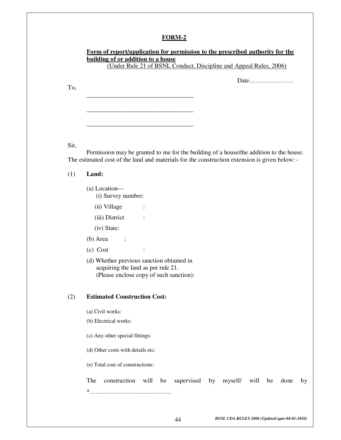### **Form of report/application for permission to the prescribed authority for the building of or addition to a house**

(Under Rule 21 of BSNL Conduct, Discipline and Appeal Rules, 2006)

Date…………………

To,

Sir,

 Permission may be granted to me for the building of a house/the addition to the house. The estimated cost of the land and materials for the construction extension is given below: -

(1) **Land:** 

- (a) Location—
	- (i) Survey number:

\_\_\_\_\_\_\_\_\_\_\_\_\_\_\_\_\_\_\_\_\_\_\_\_\_\_\_\_\_\_\_\_\_\_

\_\_\_\_\_\_\_\_\_\_\_\_\_\_\_\_\_\_\_\_\_\_\_\_\_\_\_\_\_\_\_\_\_\_

\_\_\_\_\_\_\_\_\_\_\_\_\_\_\_\_\_\_\_\_\_\_\_\_\_\_\_\_\_\_\_\_\_\_

- (ii) Village :
- (iii) District :
- (iv) State:
- $(b)$  Area :
- (c) Cost :
- (d) Whether previous sanction obtained in acquiring the land as per rule 21. (Please enclose copy of such sanction):

#### (2) **Estimated Construction Cost:**

- (a) Civil works:
- (b) Electrical works:
- (c) Any other special fittings:

(d) Other costs with details etc:

(e) Total cost of constructions:

|   | The construction will be supervised by myself will be done by |  |  |  |  |  |
|---|---------------------------------------------------------------|--|--|--|--|--|
| × |                                                               |  |  |  |  |  |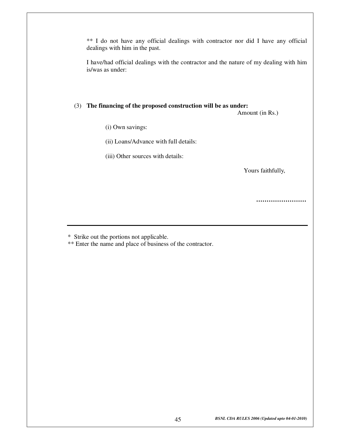\*\* I do not have any official dealings with contractor nor did I have any official dealings with him in the past.

I have/had official dealings with the contractor and the nature of my dealing with him is/was as under:

#### (3) **The financing of the proposed construction will be as under:**

Amount (in Rs.)

- (i) Own savings:
- (ii) Loans/Advance with full details:
- (iii) Other sources with details:

Yours faithfully,

**……………………**

\* Strike out the portions not applicable.

\*\* Enter the name and place of business of the contractor.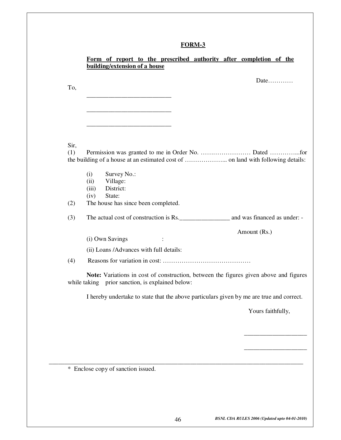|      | Date                                                                                     |
|------|------------------------------------------------------------------------------------------|
| To,  |                                                                                          |
|      |                                                                                          |
|      |                                                                                          |
|      |                                                                                          |
|      |                                                                                          |
| Sir, |                                                                                          |
| (1)  |                                                                                          |
|      |                                                                                          |
|      | (i)<br>Survey No.:                                                                       |
|      | Village:<br>(ii)<br>District:<br>(iii)                                                   |
|      | State:<br>(iv)                                                                           |
| (2)  | The house has since been completed.                                                      |
| (3)  |                                                                                          |
|      | Amount (Rs.)                                                                             |
|      | (i) Own Savings<br>$\ddot{\cdot}$                                                        |
|      | (ii) Loans /Advances with full details:                                                  |
| (4)  |                                                                                          |
|      | Note: Variations in cost of construction, between the figures given above and figures    |
|      | while taking prior sanction, is explained below:                                         |
|      | I hereby undertake to state that the above particulars given by me are true and correct. |
|      | Yours faithfully,                                                                        |
|      |                                                                                          |
|      |                                                                                          |
|      |                                                                                          |
|      |                                                                                          |
|      |                                                                                          |
|      | * Enclose copy of sanction issued.                                                       |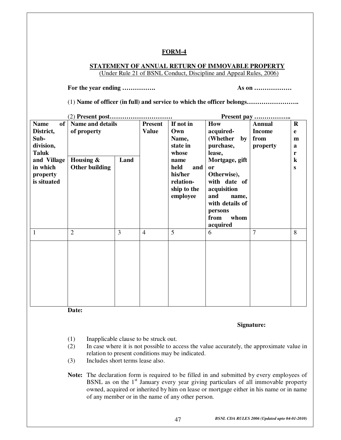#### **STATEMENT OF ANNUAL RETURN OF IMMOVABLE PROPERTY** (Under Rule 21 of BSNL Conduct, Discipline and Appeal Rules, 2006)

 **For the year ending ……………. As on ………………**

(1) **Name of officer (in full) and service to which the officer belongs…………………….** 

|                   |                         |      |                |                         |                             | Present pay   |              |
|-------------------|-------------------------|------|----------------|-------------------------|-----------------------------|---------------|--------------|
| of<br><b>Name</b> | <b>Name and details</b> |      | <b>Present</b> | If not in               | How                         | <b>Annual</b> | $\mathbf R$  |
| District,         | of property             |      | <b>Value</b>   | Own                     | acquired-                   | <b>Income</b> | e            |
| Sub-              |                         |      |                | Name,                   | (Whether<br>by              | from          | m            |
| division,         |                         |      |                | state in                | purchase,                   | property      | a            |
| <b>Taluk</b>      |                         |      |                | whose                   | lease,                      |               | $\mathbf{r}$ |
| and Village       | Housing &               | Land |                | name                    | Mortgage, gift              |               | $\bf k$      |
| in which          | <b>Other building</b>   |      |                | held<br>and             | <sub>or</sub>               |               | S            |
| property          |                         |      |                | his/her                 | Otherwise),                 |               |              |
| is situated       |                         |      |                | relation-               | with date of                |               |              |
|                   |                         |      |                | ship to the<br>employee | acquisition<br>and<br>name, |               |              |
|                   |                         |      |                |                         | with details of             |               |              |
|                   |                         |      |                |                         | persons                     |               |              |
|                   |                         |      |                |                         |                             |               |              |
|                   |                         |      |                |                         |                             |               |              |
|                   |                         |      |                |                         | from<br>whom                |               |              |
| 1                 | $\overline{2}$          | 3    | $\overline{4}$ | 5                       | acquired<br>6               | 7             | 8            |
|                   |                         |      |                |                         |                             |               |              |
|                   |                         |      |                |                         |                             |               |              |
|                   |                         |      |                |                         |                             |               |              |
|                   |                         |      |                |                         |                             |               |              |
|                   |                         |      |                |                         |                             |               |              |
|                   |                         |      |                |                         |                             |               |              |
|                   |                         |      |                |                         |                             |               |              |
|                   |                         |      |                |                         |                             |               |              |

**Date:** 

#### **Signature:**

- (1) Inapplicable clause to be struck out.
- (2) In case where it is not possible to access the value accurately, the approximate value in relation to present conditions may be indicated.
- (3) Includes short terms lease also.

**Note:** The declaration form is required to be filled in and submitted by every employees of BSNL as on the  $1<sup>st</sup>$  January every year giving particulars of all immovable property owned, acquired or inherited by him on lease or mortgage either in his name or in name of any member or in the name of any other person.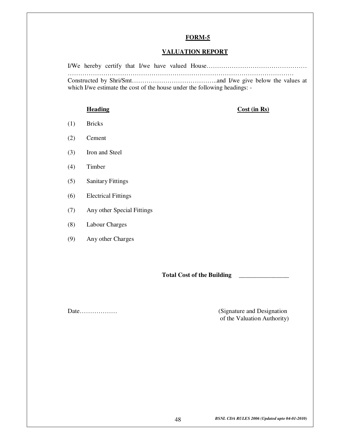#### **VALUATION REPORT**

I/We hereby certify that I/we have valued House………………………………………… ……………………………………………………………………………………………… Constructed by Shri/Smt…………………………………..and I/we give below the values at which I/we estimate the cost of the house under the following headings: -

#### **Heading** Cost (in Rs)

- (1) Bricks
- (2) Cement
- (3) Iron and Steel
- (4) Timber
- (5) Sanitary Fittings
- (6) Electrical Fittings
- (7) Any other Special Fittings
- (8) Labour Charges
- (9) Any other Charges

**Total Cost of the Building \_\_\_\_\_\_\_\_\_\_\_\_\_\_\_\_** 

Date……………… (Signature and Designation of the Valuation Authority)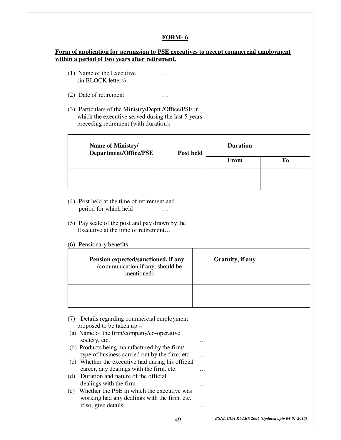#### **Form of application for permission to PSE executives to accept commercial employment within a period of two years after retirement.**

- (1) Name of the Executive … (in BLOCK letters)
- (2) Date of retirement …
- (3) Particulars of the Ministry/Deptt./Office/PSE in which the executive served during the last 5 years preceding retirement (with duration):

| Name of Ministry/<br>Department/Office/PSE | Post held | <b>Duration</b> |    |
|--------------------------------------------|-----------|-----------------|----|
|                                            |           | <b>From</b>     | To |
|                                            |           |                 |    |
|                                            |           |                 |    |

- (4) Post held at the time of retirement and period for which held …
- (5) Pay scale of the post and pay drawn by the Executive at the time of retirement...
- (6) Pensionary benefits:

| Pension expected/sanctioned, if any<br>(communication if any, should be<br>mentioned) | Gratuity, if any |
|---------------------------------------------------------------------------------------|------------------|
|                                                                                       |                  |

|     | (7) Details regarding commercial employment<br>proposed to be taken up - |          |  |
|-----|--------------------------------------------------------------------------|----------|--|
|     | (a) Name of the firm/company/co-operative                                |          |  |
|     | society, etc.                                                            | $\cdots$ |  |
|     | (b) Products being manufactured by the firm/                             |          |  |
|     | type of business carried out by the firm, etc.                           |          |  |
|     | (c) Whether the executive had during his official                        |          |  |
|     | career, any dealings with the firm, etc.                                 | .        |  |
| (d) | Duration and nature of the official                                      |          |  |
|     | dealings with the firm                                                   | .        |  |
| (e) | Whether the PSE in which the executive was                               |          |  |
|     | working had any dealings with the firm, etc.                             |          |  |
|     | if so, give details                                                      |          |  |
|     |                                                                          |          |  |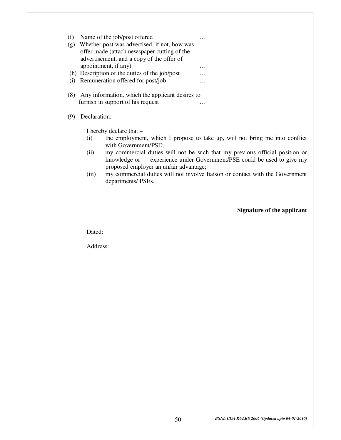| (f) | Name of the job/post offered                    | . |
|-----|-------------------------------------------------|---|
| (g) | Whether post was advertised, if not, how was    |   |
|     | offer made (attach newspaper cutting of the     |   |
|     | advertisement, and a copy of the offer of       |   |
|     |                                                 |   |
|     | appointment, if any)                            | . |
|     | (h) Description of the duties of the job/post   |   |
| (i) | Remuneration offered for post/job               | . |
| (8) | Any information, which the applicant desires to |   |
|     | furnish in support of his request               |   |
|     |                                                 |   |
|     | Declaration:-                                   |   |
|     |                                                 |   |

I hereby declare that –

- (i) the employment, which I propose to take up, will not bring me into conflict with Government/PSE;
- (ii) my commercial duties will not be such that my previous official position or knowledge or experience under Government/PSE could be used to give my proposed employer an unfair advantage;
- (iii) my commercial duties will not involve liaison or contact with the Government departments/ PSEs.

**Signature of the applicant** 

Dated:

Address: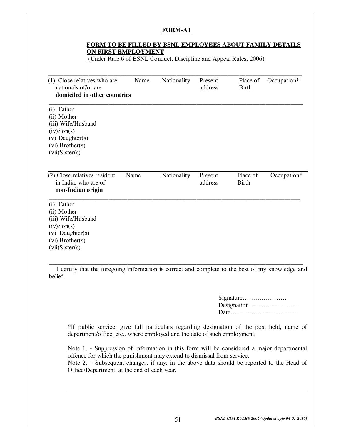#### **FORM TO BE FILLED BY BSNL EMPLOYEES ABOUT FAMILY DETAILS ON FIRST EMPLOYMENT**

(Under Rule 6 of BSNL Conduct, Discipline and Appeal Rules, 2006)

| (1) Close relatives who are<br>nationals of/or are<br>domiciled in other countries                                                     | Name | Nationality | Present<br>address | Place of<br><b>Birth</b> | Occupation* |
|----------------------------------------------------------------------------------------------------------------------------------------|------|-------------|--------------------|--------------------------|-------------|
| (i) Father<br>(ii) Mother<br>(iii) Wife/Husband<br>$(iv)$ Son $(s)$<br>$(v)$ Daughter $(s)$<br>$(vi)$ Brother $(s)$<br>(vii) Sister(s) |      |             |                    |                          |             |
| (2) Close relatives resident<br>in India, who are of<br>non-Indian origin                                                              | Name | Nationality | Present<br>address | Place of<br><b>Birth</b> | Occupation* |
| (i) Father<br>(ii) Mother<br>(iii) Wife/Husband<br>$(iv)$ Son $(s)$<br>(v) Daughter(s)<br>$(vi)$ Brother $(s)$<br>(vii) Sister(s)      |      |             |                    |                          |             |

belief.

Signature………………… Designation…………………… Date……………………………

\*If public service, give full particulars regarding designation of the post held, name of department/office, etc., where employed and the date of such employment.

Note 1. - Suppression of information in this form will be considered a major departmental offence for which the punishment may extend to dismissal from service. Note 2. – Subsequent changes, if any, in the above data should be reported to the Head of Office/Department, at the end of each year.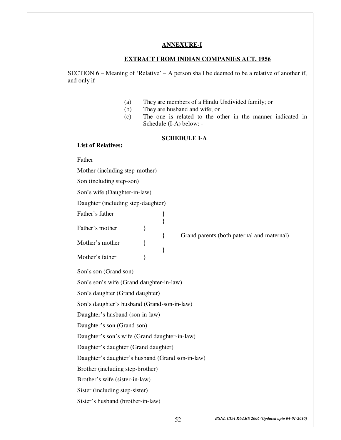#### **ANNEXURE-I**

#### **EXTRACT FROM INDIAN COMPANIES ACT, 1956**

SECTION  $6$  – Meaning of 'Relative' – A person shall be deemed to be a relative of another if, and only if

- (a) They are members of a Hindu Undivided family; or
- (b) They are husband and wife; or

}

}

(c) The one is related to the other in the manner indicated in Schedule (I-A) below: -

} Grand parents (both paternal and maternal)

#### **SCHEDULE I-A**

#### **List of Relatives:**

Father's father

Father

Mother (including step-mother) Son (including step-son)

Son's wife (Daughter-in-law)

Daughter (including step-daughter)

Father's mother  $\}$ 

Mother's mother  $\}$ 

Mother's father  $\{$ 

Son's son (Grand son)

Son's son's wife (Grand daughter-in-law)

Son's daughter (Grand daughter)

Son's daughter's husband (Grand-son-in-law)

Daughter's husband (son-in-law)

Daughter's son (Grand son)

Daughter's son's wife (Grand daughter-in-law)

Daughter's daughter (Grand daughter)

Daughter's daughter's husband (Grand son-in-law)

Brother (including step-brother)

Brother's wife (sister-in-law)

Sister (including step-sister)

Sister's husband (brother-in-law)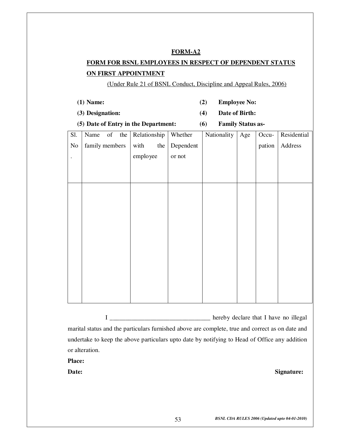## **FORM FOR BSNL EMPLOYEES IN RESPECT OF DEPENDENT STATUS ON FIRST APPOINTMENT**

(Under Rule 21 of BSNL Conduct, Discipline and Appeal Rules, 2006)

- **(1) Name: (2) Employee No:**
- 
- 
- 
- **(3) Designation: (4) Date of Birth:**
- **(5) Date of Entry in the Department: (6) Family Status as-**

| Sl.       | Name           |  | of the $\left $ Relationship |     | Whether   | Nationality | Age | Occu-  | Residential |
|-----------|----------------|--|------------------------------|-----|-----------|-------------|-----|--------|-------------|
| $\rm No$  | family members |  | with                         | the | Dependent |             |     | pation | Address     |
| $\bullet$ |                |  | employee                     |     | or not    |             |     |        |             |
|           |                |  |                              |     |           |             |     |        |             |
|           |                |  |                              |     |           |             |     |        |             |
|           |                |  |                              |     |           |             |     |        |             |
|           |                |  |                              |     |           |             |     |        |             |
|           |                |  |                              |     |           |             |     |        |             |
|           |                |  |                              |     |           |             |     |        |             |
|           |                |  |                              |     |           |             |     |        |             |
|           |                |  |                              |     |           |             |     |        |             |
|           |                |  |                              |     |           |             |     |        |             |
|           |                |  |                              |     |           |             |     |        |             |
|           |                |  |                              |     |           |             |     |        |             |
|           |                |  |                              |     |           |             |     |        |             |
|           |                |  |                              |     |           |             |     |        |             |

 I \_\_\_\_\_\_\_\_\_\_\_\_\_\_\_\_\_\_\_\_\_\_\_\_\_\_\_\_\_\_\_\_ hereby declare that I have no illegal marital status and the particulars furnished above are complete, true and correct as on date and undertake to keep the above particulars upto date by notifying to Head of Office any addition or alteration.

**Place:** 

**Date: Signature:**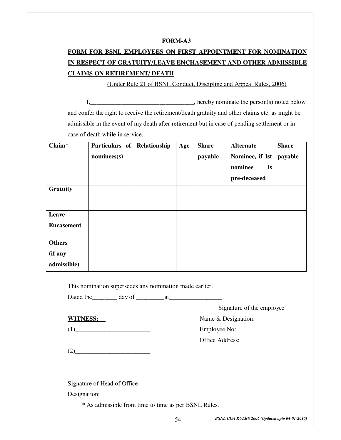# **FORM FOR BSNL EMPLOYEES ON FIRST APPOINTMENT FOR NOMINATION IN RESPECT OF GRATUITY/LEAVE ENCHASEMENT AND OTHER ADMISSIBLE CLAIMS ON RETIREMENT/ DEATH**

(Under Rule 21 of BSNL Conduct, Discipline and Appeal Rules, 2006)

I,\_\_\_\_\_\_\_\_\_\_\_\_\_\_\_\_\_\_\_\_\_\_\_\_\_\_\_\_\_\_\_\_\_, hereby nominate the person(s) noted below and confer the right to receive the retirement/death gratuity and other claims etc. as might be admissible in the event of my death after retirement but in case of pending settlement or in case of death while in service.

| Claim*            | Particulars of        | Relationship | Age | <b>Share</b> | <b>Alternate</b> | <b>Share</b> |
|-------------------|-----------------------|--------------|-----|--------------|------------------|--------------|
|                   | $n \text{ominees(s)}$ |              |     | payable      | Nominee, if Ist  | payable      |
|                   |                       |              |     |              | nominee<br>is    |              |
|                   |                       |              |     |              | pre-deceased     |              |
| Gratuity          |                       |              |     |              |                  |              |
|                   |                       |              |     |              |                  |              |
| Leave             |                       |              |     |              |                  |              |
| <b>Encasement</b> |                       |              |     |              |                  |              |
| <b>Others</b>     |                       |              |     |              |                  |              |
|                   |                       |              |     |              |                  |              |
| (if any           |                       |              |     |              |                  |              |
| admissible)       |                       |              |     |              |                  |              |

This nomination supersedes any nomination made earlier.

Dated the  $\qquad \qquad$  day of  $\qquad \qquad$  at  $\qquad \qquad$ 

Signature of the employee

**WITNESS:** Name & Designation:

(1)\_\_\_\_\_\_\_\_\_\_\_\_\_\_\_\_\_\_\_\_\_\_\_\_ Employee No:

Office Address:

 $(2)$ 

Signature of Head of Office

Designation:

\* As admissible from time to time as per BSNL Rules.

*BSNL CDA RULES 2006 (Updated upto 04-01-2010)* 54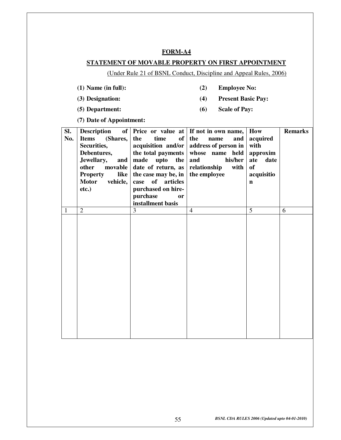#### **STATEMENT OF MOVABLE PROPERTY ON FIRST APPOINTMENT**

(Under Rule 21 of BSNL Conduct, Discipline and Appeal Rules, 2006)

- 
- **(1) Name (in full): (2) Employee No:**
- **(3) Designation: (4) Present Basic Pay:**
- **(5) Department: (6) Scale of Pay:**
- 

**(7) Date of Appointment:** 

| SI.<br>No. | <b>Description</b><br><b>Items</b><br>(Shares,<br>Securities,<br>Debentures,<br>Jewellary,<br>and<br>other<br>movable<br><b>Property</b><br>like<br><b>Motor</b><br>vehicle,<br>$etc.$ ) | time<br>of<br>the<br>acquisition and/or<br>the total payments<br>made upto<br>the<br>date of return, as<br>the case may be, in<br>of articles<br>case<br>purchased on hire-<br>purchase<br>or<br>installment basis | of   Price or value at   If not in own name, $ $<br>the<br>name<br>and<br>address of person in<br>whose name held<br>and<br>his/her<br>relationship<br>with<br>the employee | How<br>acquired<br>with<br>approxim<br>ate<br>date<br><b>of</b><br>acquisitio<br>$\mathbf n$ | <b>Remarks</b> |
|------------|------------------------------------------------------------------------------------------------------------------------------------------------------------------------------------------|--------------------------------------------------------------------------------------------------------------------------------------------------------------------------------------------------------------------|-----------------------------------------------------------------------------------------------------------------------------------------------------------------------------|----------------------------------------------------------------------------------------------|----------------|
| 1          | $\overline{2}$                                                                                                                                                                           | 3                                                                                                                                                                                                                  | $\overline{4}$                                                                                                                                                              | 5                                                                                            | 6              |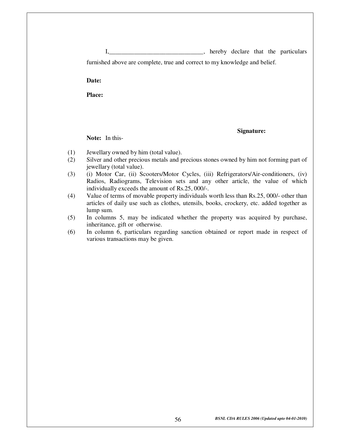I,\_\_\_\_\_\_\_\_\_\_\_\_\_\_\_\_\_\_\_\_\_\_\_\_\_\_\_\_\_\_\_, hereby declare that the particulars furnished above are complete, true and correct to my knowledge and belief.

 **Date:** 

**Place:** 

 **Signature:** 

**Note:** In this-

- (1) Jewellary owned by him (total value).
- (2) Silver and other precious metals and precious stones owned by him not forming part of jewellary (total value).
- (3) (i) Motor Car, (ii) Scooters/Motor Cycles, (iii) Refrigerators/Air-conditioners, (iv) Radios, Radiograms, Television sets and any other article, the value of which individually exceeds the amount of Rs.25, 000/-.
- (4) Value of terms of movable property individuals worth less than Rs.25, 000/- other than articles of daily use such as clothes, utensils, books, crockery, etc. added together as lump sum.
- (5) In columns 5, may be indicated whether the property was acquired by purchase, inheritance, gift or otherwise.
- (6) In column 6, particulars regarding sanction obtained or report made in respect of various transactions may be given.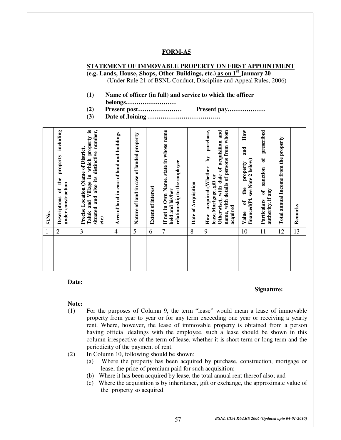### **STATEMENT OF IMMOVABLE PROPERTY ON FIRST APPOINTMENT (e.g. Lands, House, Shops, Other Buildings, etc.) as on 1st January 20\_\_\_\_**

(Under Rule 21 of BSNL Conduct, Discipline and Appeal Rules, 2006)

- **(1) Name of officer (in full) and service to which the officer belongs……………………**
- **(2) Present post………………… Present pay………………**
- **(3) Date of Joining ……………………………..**

| SI.No. | including<br>property<br>the<br>under construction<br>of<br>Descriptions | Taluk and Village in which property is<br>situated and also its distinctive number,<br>Precise Location (Name of District,<br>etc) | Area of land in case of land and buildings | Nature of land in case of landed property | <b>Extent of interest</b> | If not in Own Name, state in whose name<br>relation-ship to the employee<br>held and his/her | Date of Acquisition | purchase,<br>Otherwise), with date of acquisition and<br>name, with details of persons from whom<br>$\mathbf{\hat{q}}$<br>acquired-(Whether<br>lease, Mortgage, gift or<br>acquired<br>How | How<br>and<br>financed(Pl. see Note 2 below)<br>property<br>the<br>$\sigma$<br>Value | prescribed<br>J<br>sanction<br>authority, if any<br>$\mathbf{\hat{d}}$<br>Particulars | Total annual Income from the property | Remarks |
|--------|--------------------------------------------------------------------------|------------------------------------------------------------------------------------------------------------------------------------|--------------------------------------------|-------------------------------------------|---------------------------|----------------------------------------------------------------------------------------------|---------------------|--------------------------------------------------------------------------------------------------------------------------------------------------------------------------------------------|--------------------------------------------------------------------------------------|---------------------------------------------------------------------------------------|---------------------------------------|---------|
| 1      | $\overline{c}$                                                           | 3                                                                                                                                  | $\overline{4}$                             | 5                                         | 6                         | 7                                                                                            | 8                   | 9                                                                                                                                                                                          | 10                                                                                   | 11                                                                                    | 12                                    | 13      |
|        |                                                                          |                                                                                                                                    |                                            |                                           |                           |                                                                                              |                     |                                                                                                                                                                                            |                                                                                      |                                                                                       |                                       |         |

**Date:** 

#### **Signature:**

#### **Note:**

- (1) For the purposes of Column 9, the term "lease" would mean a lease of immovable property from year to year or for any term exceeding one year or receiving a yearly rent. Where, however, the lease of immovable property is obtained from a person having official dealings with the employee, such a lease should be shown in this column irrespective of the term of lease, whether it is short term or long term and the periodicity of the payment of rent.
- (2) In Column 10, following should be shown:
	- (a) Where the property has been acquired by purchase, construction, mortgage or lease, the price of premium paid for such acquisition;
	- (b) Where it has been acquired by lease, the total annual rent thereof also; and
	- (c) Where the acquisition is by inheritance, gift or exchange, the approximate value of the property so acquired.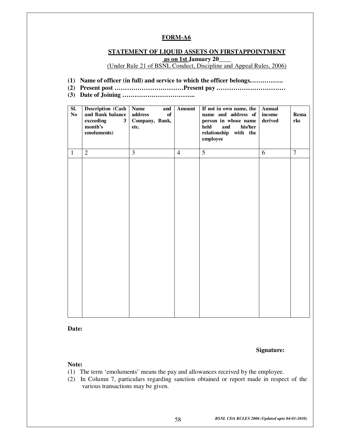#### **STATEMENT OF LIQUID ASSETS ON FIRSTAPPOINTMENT**

 **as on 1st January 20\_\_\_\_** 

(Under Rule 21 of BSNL Conduct, Discipline and Appeal Rules, 2006)

- **(1) Name of officer (in full) and service to which the officer belongs…………….**
- **(2) Present post ……………………………Present pay ……………………………**
- **(3) Date of Joining ……………………………..**

| SI.<br>No    | <b>Description (Cash</b><br>and Bank balance<br>3 <sup>1</sup><br>exceeding<br>month's<br>emoluments) | <b>Name</b><br>and<br>of<br>address<br>Company, Bank,<br>etc. | Amount         | If not in own name, the<br>name and address of<br>person in whose name<br>held<br>and<br>his/her<br>relationship with the<br>employee | <b>Annual</b><br>income<br>derived | Rema<br>rks    |
|--------------|-------------------------------------------------------------------------------------------------------|---------------------------------------------------------------|----------------|---------------------------------------------------------------------------------------------------------------------------------------|------------------------------------|----------------|
| $\mathbf{1}$ | $\overline{2}$                                                                                        | $\overline{3}$                                                | $\overline{4}$ | $\overline{5}$                                                                                                                        | 6                                  | $\overline{7}$ |
|              |                                                                                                       |                                                               |                |                                                                                                                                       |                                    |                |

**Date:** 

**Signature:** 

#### **Note:**

- (1) The term 'emoluments' means the pay and allowances received by the employee.
- (2) In Column 7, particulars regarding sanction obtained or report made in respect of the various transactions may be given.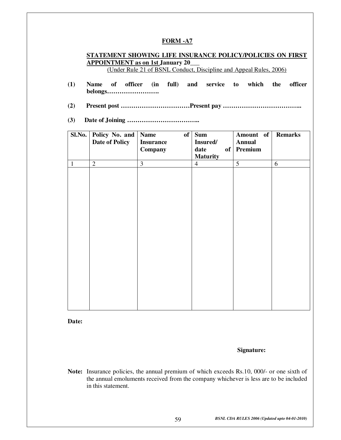#### **STATEMENT SHOWING LIFE INSURANCE POLICY/POLICIES ON FIRST APPOINTMENT as on 1st January 20\_\_\_**

(Under Rule 21 of BSNL Conduct, Discipline and Appeal Rules, 2006)

- **(1) Name of officer (in full) and service to which the officer belongs…………………….**
- **(2) Present post ……………………………Present pay ………………………………..**
- **(3) Date of Joining ……………………………..**

| Sl.No.       | Policy No. and<br>Date of Policy | <b>Name</b><br>of<br><b>Insurance</b> | <b>Sum</b><br>Insured/  | Amount of<br><b>Annual</b> | <b>Remarks</b> |
|--------------|----------------------------------|---------------------------------------|-------------------------|----------------------------|----------------|
|              |                                  | Company                               | date<br><b>Maturity</b> | of Premium                 |                |
| $\mathbf{1}$ | $\overline{2}$                   | 3                                     | $\overline{4}$          | 5                          | 6              |
|              |                                  |                                       |                         |                            |                |
|              |                                  |                                       |                         |                            |                |
|              |                                  |                                       |                         |                            |                |
|              |                                  |                                       |                         |                            |                |
|              |                                  |                                       |                         |                            |                |
|              |                                  |                                       |                         |                            |                |
|              |                                  |                                       |                         |                            |                |
|              |                                  |                                       |                         |                            |                |
|              |                                  |                                       |                         |                            |                |
|              |                                  |                                       |                         |                            |                |
|              |                                  |                                       |                         |                            |                |
|              |                                  |                                       |                         |                            |                |
|              |                                  |                                       |                         |                            |                |
|              |                                  |                                       |                         |                            |                |
|              |                                  |                                       |                         |                            |                |
|              |                                  |                                       |                         |                            |                |

**Date:** 

 **Signature:** 

Note: Insurance policies, the annual premium of which exceeds Rs.10, 000/- or one sixth of the annual emoluments received from the company whichever is less are to be included in this statement.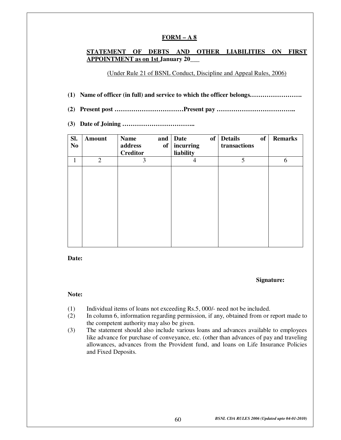#### **FORM – A 8**

#### **STATEMENT OF DEBTS AND OTHER LIABILITIES ON FIRST APPOINTMENT as on 1st January 20\_\_\_**

(Under Rule 21 of BSNL Conduct, Discipline and Appeal Rules, 2006)

- **(1) Name of officer (in full) and service to which the officer belongs…………………….**
- **(2) Present post ……………………………Present pay ………………………………..**
- **(3) Date of Joining ……………………………..**

| SI.<br>$\bf No$ | Amount         | <b>Name</b><br>address<br>of<br><b>Creditor</b> | of<br>and   Date<br>incurring<br>liability | of<br><b>Details</b><br>transactions | <b>Remarks</b> |
|-----------------|----------------|-------------------------------------------------|--------------------------------------------|--------------------------------------|----------------|
| 1               | $\overline{2}$ | 3                                               | 4                                          | 5                                    | 6              |
|                 |                |                                                 |                                            |                                      |                |
|                 |                |                                                 |                                            |                                      |                |
|                 |                |                                                 |                                            |                                      |                |
|                 |                |                                                 |                                            |                                      |                |
|                 |                |                                                 |                                            |                                      |                |
|                 |                |                                                 |                                            |                                      |                |
|                 |                |                                                 |                                            |                                      |                |
|                 |                |                                                 |                                            |                                      |                |

**Date:** 

#### **Signature:**

#### **Note:**

- (1) Individual items of loans not exceeding Rs.5, 000/- need not be included.
- (2) In column 6, information regarding permission, if any, obtained from or report made to the competent authority may also be given.
- (3) The statement should also include various loans and advances available to employees like advance for purchase of conveyance, etc. (other than advances of pay and traveling allowances, advances from the Provident fund, and loans on Life Insurance Policies and Fixed Deposits.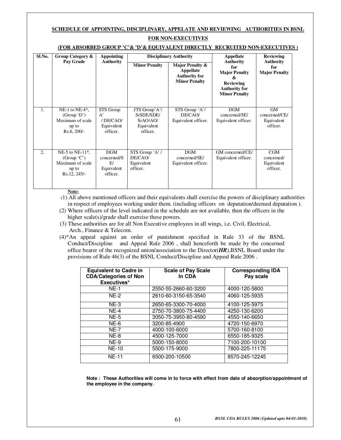#### **SCHEDULE OF APPOINTING, DISCIPLINARY, APPELATE AND REVIEWING AUTHORITIES IN BSNL FOR NON-EXECUTIVES**

| Sl.No.           | Group Category &                                                                | <b>Appointing</b>                                               |                                                                   | <b>Disciplinary Authority</b>                                                | <b>Appellate</b>                                                                                                         | <b>Reviewing</b>                                |
|------------------|---------------------------------------------------------------------------------|-----------------------------------------------------------------|-------------------------------------------------------------------|------------------------------------------------------------------------------|--------------------------------------------------------------------------------------------------------------------------|-------------------------------------------------|
|                  | Pay Grade                                                                       | <b>Authority</b>                                                | <b>Minor Penalty</b>                                              | Major Penalty &<br>Appellate<br><b>Authority for</b><br><b>Minor Penalty</b> | <b>Authority</b><br>for<br><b>Major Penalty</b><br>&<br><b>Reviewing</b><br><b>Authority for</b><br><b>Minor Penalty</b> | <b>Authority</b><br>for<br><b>Major Penalty</b> |
| 1.               | NE-1 to NE-4 $*$ ,<br>(Group 'D')<br>Maximum of scale<br>up to<br>$Rs.6, 200/-$ | STS Group<br>$A^{\prime}$<br>/DE/CAO/<br>Equivalent<br>officer. | JTS Group'A'/<br>SrSDE/SDE/<br>SrAO/AO/<br>Equivalent<br>officer. | STS Group 'A'/<br>DE/CAO/<br>Equivalent officer.                             | <b>DGM</b><br>concerned/SE/<br>Equivalent officer.                                                                       | GM<br>concerned/CE/<br>Equivalent<br>officer.   |
| $\overline{2}$ . | NE-5 to NE-11 $*$ ,<br>(Group 'C')<br>Maximum of scale<br>up to<br>Rs.12, 245/- | DGM<br>concerned/S<br>E/<br>Equivalent<br>officer.              | STS Group 'A' /<br>DE/CAO/<br>Equivalent<br>officer.              | <b>DGM</b><br>concerned/SE/<br>Equivalent officer.                           | GM concerned/CE/<br>Equivalent officer.                                                                                  | CGM<br>concerned/<br>Equivalent<br>officer.     |

#### **(FOR ABSORBED GROUP 'C'& 'D'& EQUIVALENT DIRECTLY RECRUITED NON-EXECUTIVES )**

**Note:**

 (1) All above mentioned officers and their equivalents shall exercise the powers of disciplinary authorities in respect of employees working under them. (including officers on deputation/deemed deputation ).

- (2) Where officers of the level indicated in the schedule are not available, then the officers in the higher scale(s)/grade shall exercise these powers.
- (3) These authorities are for all Non Executive employees in all wings, i.e. Civil, Electrical, Arch., Finance & Telecom.
- (4)\*An appeal against an order of punishment specified in Rule 33 of the BSNL Conduct/Discipline and Appeal Rule 2006 , shall henceforth be made by the concerned office bearer of the recognized union/association to the Director(*HR*),BSNL Board under the provisions of Rule 46(3) of the BSNL Conduct/Discipline and Appeal Rule 2006 .

| <b>Equivalent to Cadre in</b><br><b>CDA/Categories of Non</b><br>Executives* | <b>Scale of Pay Scale</b><br>In CDA | <b>Corresponding IDA</b><br>Pay scale |
|------------------------------------------------------------------------------|-------------------------------------|---------------------------------------|
| $NE-1$                                                                       | 2550-55-2660-60-3200                | 4000-120-5800                         |
| $NE-2$                                                                       | 2610-60-3150-65-3540                | 4060-125-5935                         |
| $NE-3$                                                                       | 2650-65-3300-70-4000                | 4100-125-5975                         |
| $NE-4$                                                                       | 2750-70-3800-75-4400                | 4250-130-6200                         |
| $NE-5$                                                                       | 3050-75-3950-80-4590                | 4550-140-6650                         |
| $NE-6$                                                                       | 3200-85-4900                        | 4720-150-6970                         |
| <b>NE-7</b>                                                                  | 4000-100-6000                       | 5700-160-8100                         |
| $NE-8$                                                                       | 4500-125-7000                       | 6550-185-9325                         |
| $NE-9$                                                                       | 5000-150-8000                       | 7100-200-10100                        |
| <b>NF-10</b>                                                                 | 5500-175-9000                       | 7800-225-11175                        |
| <b>NE-11</b>                                                                 | 6500-200-10500                      | 8570-245-12245                        |

**Note : These Authorities will come in to force with effect from date of absorption/appointment of the employee in the company.**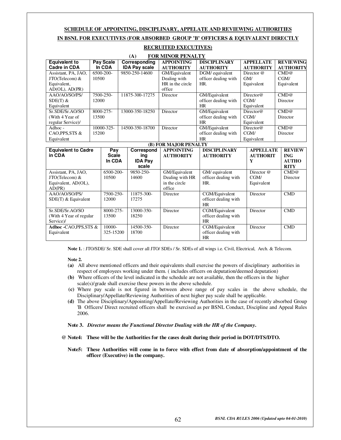#### **SCHEDULE OF APPOINTING, DISCIPLINARY, APPELATE AND REVIEWING AUTHORITIES IN BSNL FOR EXECUTIVES (FOR ABSORBED GROUP 'B' OFFICERS & EQUIVALENT DIRECTLY**

|                            |       |              |                 | (A)                  | <b>FOR MINOR PENALTY</b> |                      |                      |                  |
|----------------------------|-------|--------------|-----------------|----------------------|--------------------------|----------------------|----------------------|------------------|
| <b>Equivalent to</b>       |       | Pay Scale    |                 | Corresponding        | <b>APPOINTING</b>        | <b>DISCIPLINARY</b>  | <b>APPELLATE</b>     | <b>REVIEWING</b> |
| <b>Cadre in CDA</b>        |       | In CDA       |                 | <b>IDA Pay scale</b> | <b>AUTHORITY</b>         | <b>AUTHORITY</b>     | <b>AUTHORITY</b>     | <b>AUTHORITY</b> |
| Assistant, PA, JAO,        |       | 6500-200-    |                 | 9850-250-14600       | GM/Equivalent            | DGM/ equivalent      | Director @           | CMD@             |
| $JTO(Telecom)$ &           | 10500 |              |                 |                      | Dealing with             | officer dealing with | GM/                  | CGM/             |
| Equivalent,                |       |              |                 |                      | HR in the circle         | HR.                  | Equivalent           | Equivalent       |
| $AD(OL)$ , $AD(PR)$        |       |              |                 |                      | office                   |                      |                      |                  |
| AAO/AO/SO/PS/              |       | 7500-250-    |                 | 11875-300-17275      | Director                 | GM/Equivalent        | Directory@           | CMD@             |
| $SDE(T)$ &                 | 12000 |              |                 |                      |                          | officer dealing with | CGM/                 | Director         |
| Equivalent                 |       |              |                 |                      |                          | <b>HR</b>            | Equivalent           |                  |
| Sr.SDE/Sr.AO/SO            |       | 8000-275-    | 13000-350-18250 |                      | Director                 | GM/Equivalent        | $\text{Directory} @$ | CMD@             |
| (With 4 Year of            | 13500 |              |                 |                      | officer dealing with     | CGM/                 | Director             |                  |
| regular Service)/          |       |              |                 |                      | <b>HR</b>                | Equivalent           |                      |                  |
| Adhoc -                    |       | 10000-325-   |                 | 14500-350-18700      | Director                 | GM/Equivalent        | $\text{Directory} @$ | CMD@             |
| CAO, PPS, STS &            | 15200 |              |                 |                      |                          | officer dealing with | CGM/                 | Director         |
| Equivalent                 |       |              |                 |                      |                          | <b>HR</b>            | Equivalent           |                  |
|                            |       |              |                 |                      | (B) FOR MAJOR PENALTY    |                      |                      |                  |
| <b>Equivalent to Cadre</b> |       | Pay          |                 | Correspond           | <b>APPOINTING</b>        | <b>DISCIPLINARY</b>  | <b>APPELLATE</b>     | <b>REVIEW</b>    |
| in CDA                     |       | <b>Scale</b> |                 | ing                  | <b>AUTHORITY</b>         | <b>AUTHORITY</b>     | <b>AUTHORIT</b>      | <b>ING</b>       |
|                            |       | In CDA       |                 | <b>IDA Pay</b>       |                          |                      | Y                    | <b>AUTHO</b>     |
|                            |       |              |                 | scale                |                          |                      |                      | <b>RITY</b>      |
| Assistant, PA, JAO,        |       | 6500-200-    |                 | 9850-250-            | GM/Equivalent            | GM/ equivalent       | Director @           | CMD@             |

#### **RECRUITED EXECUTIVES)**

**Note 1.** : JTO/SDE/ Sr. SDE shall cover all JTO/ SDEs / Sr. SDEs of all wings i.e. Civil, Electrical, Arch. & Telecom.

Dealing with HR in the circle office

officer dealing with

officer dealing with

officer dealing with

officer dealing with

CGM/ Equivalent

Director CMD

Director CMD

Director CMD

Director

HR.

HR

HR

HR

Director CGM/Equivalent

Director CGM/Equivalent

Director **CGM/Equivalent** 

#### **Note 2.**

**Adhoc -**CAO,PPS,STS &

JTO(Telecom) & Equivalent, AD(OL),

AAO/AO/SO/PS/ SDE(T) & Equivalent

Sr.SDE/Sr.AO/SO (With 4 Year of regular 10500

7500-250- 12000

8000-275- 13500

10000- 325-15200 14600

11875-300- 17275

13000-350- 18250

14500-350- 18700

AD(PR)

Service)/

Equivalent

- **(a)** All above mentioned officers and their equivalents shall exercise the powers of disciplinary authorities in respect of employees working under them. ( includes officers on deputation/deemed deputation)
- **(b)** Where officers of the level indicated in the schedule are not available, then the officers in the higher scale(s)/grade shall exercise these powers in the above schedule.
- **(c)** Where pay scale is not figured in between above range of pay scales in the above schedule, the Disciplinary/Appellate/Reviewing Authorities of next higher pay scale shall be applicable.
- **(d)** The above Disciplinary/Appointing/Appellate/Reviewing Authorities in the case of recently absorbed Group 'B Officers/ Direct recruited officers shall be exercised as per BSNL Conduct, Discipline and Appeal Rules 2006.

#### **Note 3.** *Director means the Functional Director Dealing with the HR of the Company***.**

- **@ Note4: These will be the Authorities for the cases dealt during their period in DOT/DTS/DTO.** 
	- **Note5: These Authorities will come in to force with effect from date of absorption/appointment of the officer (Executive) in the company.**